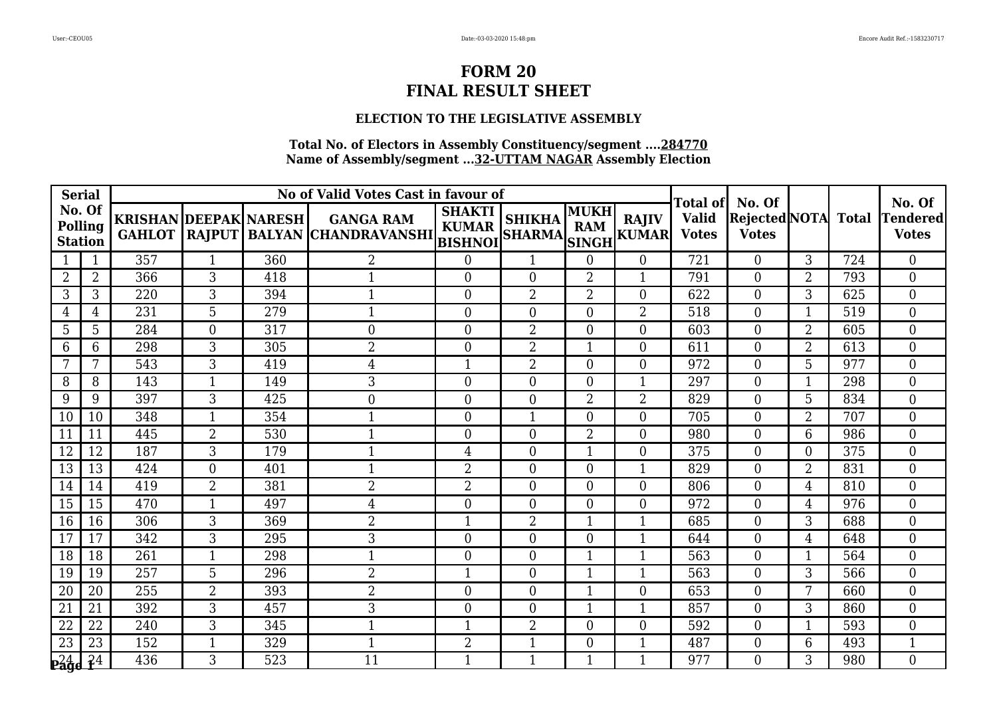## **ELECTION TO THE LEGISLATIVE ASSEMBLY**

| <b>Serial</b>                       |                |                              |                |     | No of Valid Votes Cast in favour of                                           |                               |                  |                    |                             | Total of                     | No. Of                         |                |              | No. Of                          |
|-------------------------------------|----------------|------------------------------|----------------|-----|-------------------------------------------------------------------------------|-------------------------------|------------------|--------------------|-----------------------------|------------------------------|--------------------------------|----------------|--------------|---------------------------------|
| No. Of<br>Polling<br><b>Station</b> |                | <b>KRISHAN DEEPAK NARESH</b> |                |     | <b>GANGA RAM</b><br>GAHLOT  RAJPUT   BALYAN  CHANDRAVANSHI   BISHNOI   SHARMA | <b>SHAKTI</b><br><b>KUMAR</b> | <b>SHIKHA</b>    | MUKH<br><b>RAM</b> | <b>RAJIV</b><br>SINGH KUMAR | <b>Valid</b><br><b>Votes</b> | Rejected NOTA <br><b>Votes</b> |                | <b>Total</b> | <b>Tendered</b><br><b>Votes</b> |
|                                     |                | 357                          | $\mathbf{1}$   | 360 | $\overline{2}$                                                                | $\boldsymbol{0}$              | 1                | $\Omega$           | $\overline{0}$              | 721                          | $\overline{0}$                 | 3              | 724          | $\boldsymbol{0}$                |
| $\overline{2}$                      | $\overline{2}$ | 366                          | 3              | 418 | $\mathbf{1}$                                                                  | $\overline{0}$                | $\overline{0}$   | $\overline{2}$     | $\mathbf{1}$                | 791                          | $\overline{0}$                 | 2              | 793          | $\overline{0}$                  |
| 3                                   | 3              | 220                          | 3              | 394 | $\mathbf{1}$                                                                  | $\overline{0}$                | $\overline{2}$   | $\overline{2}$     | $\overline{0}$              | 622                          | $\Omega$                       | 3              | 625          | $\overline{0}$                  |
| $\overline{4}$                      | 4              | 231                          | $\overline{5}$ | 279 | $\mathbf{1}$                                                                  | $\overline{0}$                | $\overline{0}$   | $\Omega$           | $\overline{2}$              | 518                          | $\Omega$                       | $\mathbf{1}$   | 519          | $\overline{0}$                  |
| 5                                   | 5              | 284                          | $\overline{0}$ | 317 | $\overline{0}$                                                                | $\overline{0}$                | $\overline{2}$   | $\Omega$           | $\overline{0}$              | 603                          | $\theta$                       | $\overline{2}$ | 605          | $\overline{0}$                  |
| 6                                   | 6              | 298                          | 3              | 305 | $\overline{2}$                                                                | $\overline{0}$                | $\overline{2}$   |                    | $\Omega$                    | 611                          | $\theta$                       | $\overline{2}$ | 613          | $\overline{0}$                  |
| 7                                   | 7              | 543                          | 3              | 419 | 4                                                                             | $\mathbf{1}$                  | $\overline{2}$   | $\Omega$           | $\theta$                    | 972                          | $\theta$                       | 5              | 977          | $\theta$                        |
| 8                                   | 8              | 143                          | $\mathbf 1$    | 149 | 3                                                                             | $\boldsymbol{0}$              | $\overline{0}$   | 0                  | $\mathbf{1}$                | 297                          | $\overline{0}$                 | 1              | 298          | $\overline{0}$                  |
| 9                                   | 9              | 397                          | 3              | 425 | $\mathbf{0}$                                                                  | $\boldsymbol{0}$              | $\overline{0}$   | $\overline{2}$     | $\overline{2}$              | 829                          | $\overline{0}$                 | 5              | 834          | $\boldsymbol{0}$                |
| 10                                  | 10             | 348                          | $\mathbf{1}$   | 354 | $\mathbf{1}$                                                                  | $\boldsymbol{0}$              | $\mathbf{1}$     | $\Omega$           | $\overline{0}$              | 705                          | $\Omega$                       | $\overline{2}$ | 707          | $\overline{0}$                  |
| 11                                  | 11             | 445                          | $\overline{2}$ | 530 | $\mathbf{1}$                                                                  | $\mathbf{0}$                  | $\boldsymbol{0}$ | $\overline{2}$     | $\overline{0}$              | 980                          | $\overline{0}$                 | 6              | 986          | $\overline{0}$                  |
| 12                                  | 12             | 187                          | $\overline{3}$ | 179 | $\mathbf{1}$                                                                  | $\overline{4}$                | $\overline{0}$   | 1                  | $\overline{0}$              | 375                          | $\overline{0}$                 | $\overline{0}$ | 375          | $\overline{0}$                  |
| 13                                  | 13             | 424                          | $\theta$       | 401 | $\mathbf{1}$                                                                  | $\overline{2}$                | $\Omega$         | $\Omega$           | $\mathbf{1}$                | 829                          | $\Omega$                       | $\overline{2}$ | 831          | $\Omega$                        |
| 14                                  | 14             | 419                          | $\overline{2}$ | 381 | $\overline{2}$                                                                | $\overline{2}$                | $\overline{0}$   | $\Omega$           | $\Omega$                    | 806                          | $\theta$                       | 4              | 810          | $\overline{0}$                  |
| 15                                  | 15             | 470                          | $\mathbf{1}$   | 497 | $\overline{4}$                                                                | $\mathbf{0}$                  | $\overline{0}$   | $\Omega$           | $\overline{0}$              | 972                          | $\Omega$                       | 4              | 976          | $\overline{0}$                  |
| 16                                  | 16             | 306                          | 3              | 369 | $\overline{2}$                                                                | $\mathbf{1}$                  | $\overline{2}$   | 1                  | 1                           | 685                          | $\theta$                       | 3              | 688          | $\overline{0}$                  |
| 17                                  | 17             | 342                          | 3              | 295 | 3                                                                             | $\boldsymbol{0}$              | $\overline{0}$   | $\theta$           | $\mathbf 1$                 | 644                          | $\theta$                       | 4              | 648          | $\overline{0}$                  |
| 18                                  | 18             | 261                          | 1              | 298 | $\mathbf 1$                                                                   | $\overline{0}$                | $\overline{0}$   | 1                  | 1                           | 563                          | $\theta$                       | 1              | 564          | $\overline{0}$                  |
| 19                                  | 19             | 257                          | 5              | 296 | $\overline{2}$                                                                | $\mathbf{1}$                  | $\overline{0}$   |                    | $\mathbf{1}$                | 563                          | $\overline{0}$                 | 3              | 566          | $\overline{0}$                  |
| 20                                  | 20             | 255                          | $\overline{2}$ | 393 | $\overline{2}$                                                                | $\boldsymbol{0}$              | $\boldsymbol{0}$ |                    | $\overline{0}$              | 653                          | $\Omega$                       | 7              | 660          | $\boldsymbol{0}$                |
| 21                                  | 21             | 392                          | 3              | 457 | 3                                                                             | $\overline{0}$                | $\overline{0}$   | 1                  | $\mathbf{1}$                | 857                          | $\Omega$                       | 3              | 860          | $\theta$                        |
| 22                                  | 22             | 240                          | 3              | 345 | $\mathbf 1$                                                                   | $\mathbf 1$                   | $\overline{2}$   | $\Omega$           | $\overline{0}$              | 592                          | $\theta$                       | 1              | 593          | $\overline{0}$                  |
| 23                                  | 23             | 152                          | $\mathbf{1}$   | 329 | $\mathbf{1}$                                                                  | $\overline{2}$                | $\mathbf{1}$     | $\Omega$           | $\mathbf{1}$                | 487                          | $\overline{0}$                 | 6              | 493          | $\mathbf{1}$                    |
| $P_44$ $P_44$                       |                | 436                          | 3              | 523 | 11                                                                            | $\mathbf{1}$                  | 1                |                    | $\mathbf{1}$                | 977                          | 0                              | 3              | 980          | $\Omega$                        |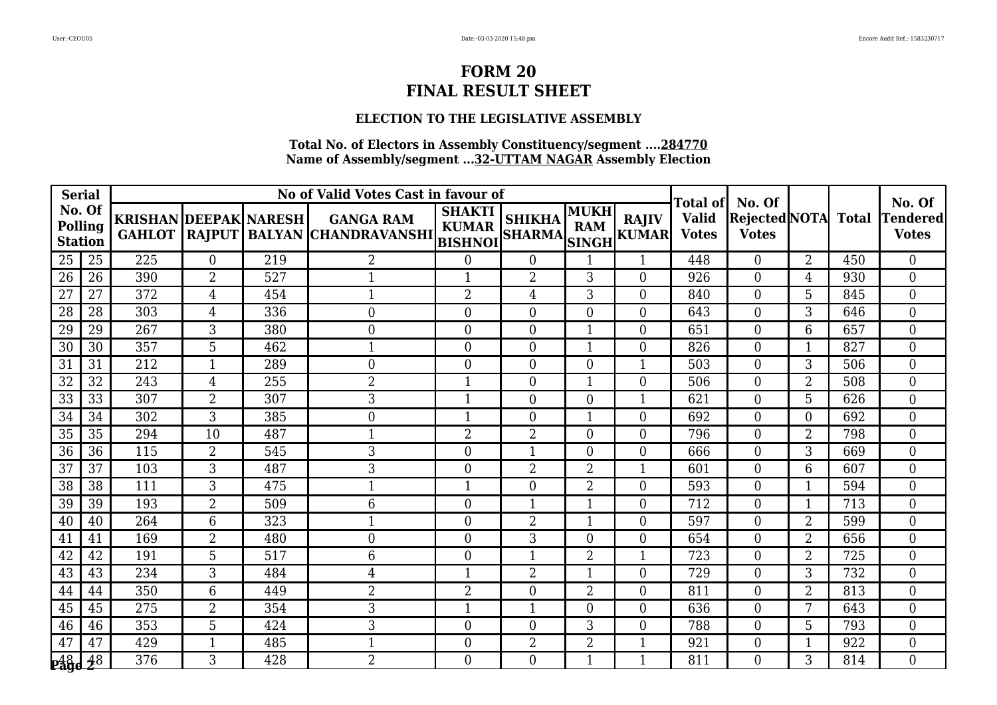## **ELECTION TO THE LEGISLATIVE ASSEMBLY**

| <b>Serial</b>                              |                 |                                               |                |     | No of Valid Votes Cast in favour of                     |                               |                                |                           |                              | <b>Total of</b>              | No. Of                         |                |              | No. Of                          |
|--------------------------------------------|-----------------|-----------------------------------------------|----------------|-----|---------------------------------------------------------|-------------------------------|--------------------------------|---------------------------|------------------------------|------------------------------|--------------------------------|----------------|--------------|---------------------------------|
| No. Of<br><b>Polling</b><br><b>Station</b> |                 | <b>KRISHAN DEEPAK NARESH</b><br><b>GAHLOT</b> |                |     | <b>GANGA RAM</b><br>RAJPUT BALYAN CHANDRAVANSHI BISHNOI | <b>SHAKTI</b><br><b>KUMAR</b> | <b>SHIKHA</b><br><b>SHARMA</b> | <b>MUKH</b><br><b>RAM</b> | <b>RAJIV</b><br>SINGH KUMARI | <b>Valid</b><br><b>Votes</b> | Rejected NOTA <br><b>Votes</b> |                | <b>Total</b> | <b>Tendered</b><br><b>Votes</b> |
| 25                                         | 25              | 225                                           | $\overline{0}$ | 219 | 2                                                       | $\boldsymbol{0}$              | $\overline{0}$                 |                           | $\mathbf{1}$                 | 448                          | $\overline{0}$                 | $\overline{2}$ | 450          | $\overline{0}$                  |
| 26                                         | 26              | 390                                           | $\overline{2}$ | 527 | 1                                                       | 1                             | $\overline{2}$                 | 3                         | $\theta$                     | 926                          | $\overline{0}$                 | 4              | 930          | $\overline{0}$                  |
| 27                                         | 27              | 372                                           | 4              | 454 | $\mathbf{1}$                                            | $\overline{2}$                | $\overline{4}$                 | 3                         | $\theta$                     | 840                          | $\overline{0}$                 | 5              | 845          | $\overline{0}$                  |
| 28                                         | 28              | 303                                           | $\overline{4}$ | 336 | $\mathbf{0}$                                            | $\boldsymbol{0}$              | $\boldsymbol{0}$               | $\theta$                  | $\theta$                     | 643                          | $\overline{0}$                 | 3              | 646          | $\overline{0}$                  |
| 29                                         | 29              | 267                                           | 3              | 380 | $\overline{0}$                                          | $\overline{0}$                | $\overline{0}$                 | 1                         | $\theta$                     | 651                          | $\theta$                       | 6              | 657          | $\overline{0}$                  |
| 30                                         | 30              | 357                                           | 5              | 462 | 1                                                       | $\overline{0}$                | $\overline{0}$                 |                           | $\Omega$                     | 826                          | $\theta$                       | $\mathbf 1$    | 827          | $\overline{0}$                  |
| 31                                         | 31              | 212                                           | $\mathbf{1}$   | 289 | $\mathbf{0}$                                            | $\boldsymbol{0}$              | $\boldsymbol{0}$               | $\overline{0}$            | $\mathbf{1}$                 | 503                          | $\overline{0}$                 | 3              | 506          | $\overline{0}$                  |
| 32                                         | 32              | 243                                           | $\overline{4}$ | 255 | $\overline{2}$                                          | 1                             | $\overline{0}$                 |                           | $\overline{0}$               | 506                          | $\overline{0}$                 | $\overline{2}$ | 508          | $\overline{0}$                  |
| 33                                         | 33              | 307                                           | $\overline{2}$ | 307 | 3                                                       | $\mathbf{1}$                  | $\overline{0}$                 | $\Omega$                  | $\mathbf{1}$                 | 621                          | $\Omega$                       | 5              | 626          | $\overline{0}$                  |
| 34                                         | 34              | $\overline{302}$                              | 3              | 385 | $\mathbf{0}$                                            | $\mathbf{1}$                  | $\overline{0}$                 |                           | $\theta$                     | 692                          | $\Omega$                       | $\overline{0}$ | 692          | $\overline{0}$                  |
| 35                                         | 35              | 294                                           | 10             | 487 | -1                                                      | $\overline{2}$                | $\overline{2}$                 | $\Omega$                  | $\theta$                     | 796                          | $\overline{0}$                 | $\overline{2}$ | 798          | $\overline{0}$                  |
| 36                                         | 36              | 115                                           | $\overline{2}$ | 545 | 3                                                       | $\overline{0}$                | $\mathbf{1}$                   | $\Omega$                  | $\overline{0}$               | 666                          | $\overline{0}$                 | 3              | 669          | $\boldsymbol{0}$                |
| $\overline{37}$                            | $\overline{37}$ | 103                                           | $\overline{3}$ | 487 | 3                                                       | $\overline{0}$                | $\overline{2}$                 | $\overline{2}$            | $\mathbf{1}$                 | 601                          | $\Omega$                       | 6              | 607          | $\overline{0}$                  |
| 38                                         | 38              | 111                                           | 3              | 475 | 1                                                       | 1                             | $\overline{0}$                 | $\overline{2}$            | $\theta$                     | 593                          | $\theta$                       | 1              | 594          | $\overline{0}$                  |
| 39                                         | 39              | 193                                           | $\overline{2}$ | 509 | 6                                                       | $\boldsymbol{0}$              | $\mathbf{1}$                   | 1                         | $\overline{0}$               | 712                          | $\overline{0}$                 | 1              | 713          | $\boldsymbol{0}$                |
| 40                                         | 40              | 264                                           | 6              | 323 | 1                                                       | $\boldsymbol{0}$              | $\overline{2}$                 | 1                         | $\theta$                     | 597                          | $\Omega$                       | $\overline{2}$ | 599          | $\theta$                        |
| 41                                         | 41              | 169                                           | $\overline{2}$ | 480 | $\mathbf{0}$                                            | $\overline{0}$                | 3                              | $\overline{0}$            | $\overline{0}$               | 654                          | $\overline{0}$                 | $\overline{2}$ | 656          | $\overline{0}$                  |
| 42                                         | 42              | 191                                           | $\overline{5}$ | 517 | 6                                                       | $\overline{0}$                | 1                              | $\overline{2}$            | 1                            | 723                          | $\overline{0}$                 | $\overline{2}$ | 725          | $\overline{0}$                  |
| 43                                         | 43              | 234                                           | 3              | 484 | 4                                                       | $\mathbf{1}$                  | $\overline{2}$                 | 1                         | $\Omega$                     | 729                          | $\Omega$                       | 3              | 732          | $\Omega$                        |
| 44                                         | 44              | 350                                           | 6              | 449 | $\overline{2}$                                          | $\overline{2}$                | $\boldsymbol{0}$               | $\overline{2}$            | $\overline{0}$               | 811                          | $\overline{0}$                 | $\overline{2}$ | 813          | $\overline{0}$                  |
| 45                                         | 45              | 275                                           | 2              | 354 | 3                                                       | $\mathbf 1$                   | $\mathbf{1}$                   | $\overline{0}$            | $\overline{0}$               | 636                          | $\overline{0}$                 | 7              | 643          | $\boldsymbol{0}$                |
| 46                                         | 46              | 353                                           | 5              | 424 | 3                                                       | $\overline{0}$                | $\overline{0}$                 | 3                         | $\theta$                     | 788                          | $\Omega$                       | 5              | 793          | $\overline{0}$                  |
| 47                                         | 47              | 429                                           | 1              | 485 | 1                                                       | $\overline{0}$                | 2                              | $\overline{2}$            |                              | 921                          | $\overline{0}$                 |                | 922          | $\overline{0}$                  |
| $_{\frac{148}{28}}$                        |                 | 376                                           | 3              | 428 | $\overline{2}$                                          | $\overline{0}$                | $\overline{0}$                 |                           |                              | 811                          | $\Omega$                       | 3              | 814          | $\overline{0}$                  |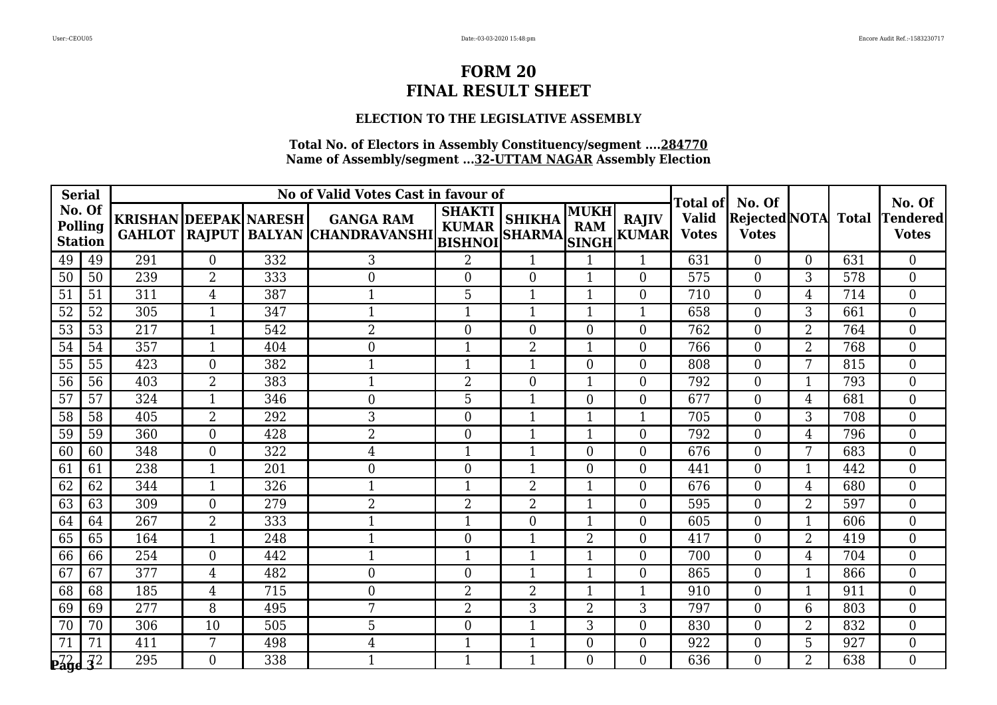## **ELECTION TO THE LEGISLATIVE ASSEMBLY**

| <b>Serial</b>                              |    |                                               |                  |     | No of Valid Votes Cast in favour of                     |                               |                                |                    |                             | Total of                     | No. Of                         |                |              | No. Of                          |
|--------------------------------------------|----|-----------------------------------------------|------------------|-----|---------------------------------------------------------|-------------------------------|--------------------------------|--------------------|-----------------------------|------------------------------|--------------------------------|----------------|--------------|---------------------------------|
| No. Of<br><b>Polling</b><br><b>Station</b> |    | <b>KRISHAN DEEPAK NARESH</b><br><b>GAHLOT</b> |                  |     | <b>GANGA RAM</b><br>RAJPUT BALYAN CHANDRAVANSHI BISHNOI | <b>SHAKTI</b><br><b>KUMAR</b> | <b>SHIKHA</b><br><b>SHARMA</b> | MUKH<br><b>RAM</b> | <b>RAJIV</b><br>SINGH KUMAR | <b>Valid</b><br><b>Votes</b> | Rejected NOTA <br><b>Votes</b> |                | <b>Total</b> | <b>Tendered</b><br><b>Votes</b> |
| 49                                         | 49 | 291                                           | $\overline{0}$   | 332 | 3                                                       | $\overline{2}$                | $\mathbf{1}$                   |                    | 1                           | 631                          | $\overline{0}$                 | $\Omega$       | 631          | $\overline{0}$                  |
| 50                                         | 50 | 239                                           | $\overline{2}$   | 333 | $\overline{0}$                                          | $\theta$                      | $\overline{0}$                 | 1                  | $\theta$                    | 575                          | $\Omega$                       | 3              | 578          | $\Omega$                        |
| 51                                         | 51 | 311                                           | 4                | 387 | $\mathbf 1$                                             | 5                             | 1                              |                    | $\Omega$                    | 710                          | $\overline{0}$                 | 4              | 714          | $\overline{0}$                  |
| 52                                         | 52 | 305                                           | $\mathbf{1}$     | 347 | $\mathbf{1}$                                            | $\mathbf{1}$                  | $\mathbf{1}$                   | 1                  | $\mathbf{1}$                | 658                          | $\overline{0}$                 | 3              | 661          | $\boldsymbol{0}$                |
| 53                                         | 53 | 217                                           | $\mathbf{1}$     | 542 | $\overline{2}$                                          | $\overline{0}$                | $\overline{0}$                 | $\overline{0}$     | $\overline{0}$              | 762                          | $\overline{0}$                 | $\overline{2}$ | 764          | $\overline{0}$                  |
| 54                                         | 54 | 357                                           | 1                | 404 | $\overline{0}$                                          | -1                            | 2                              |                    | $\Omega$                    | 766                          | $\Omega$                       | $\overline{2}$ | 768          | $\theta$                        |
| 55                                         | 55 | 423                                           | $\overline{0}$   | 382 | 1                                                       | $\mathbf{1}$                  | $\mathbf{1}$                   | $\theta$           | $\overline{0}$              | 808                          | $\overline{0}$                 | 7              | 815          | $\boldsymbol{0}$                |
| 56                                         | 56 | 403                                           | $\overline{2}$   | 383 | 1                                                       | $\overline{2}$                | $\boldsymbol{0}$               | 1                  | $\overline{0}$              | 792                          | $\overline{0}$                 | $\mathbf{1}$   | 793          | $\overline{0}$                  |
| 57                                         | 57 | 324                                           | 1                | 346 | $\overline{0}$                                          | 5                             | 1                              | $\Omega$           | $\Omega$                    | 677                          | $\theta$                       | 4              | 681          | $\overline{0}$                  |
| 58                                         | 58 | 405                                           | $\overline{2}$   | 292 | 3                                                       | $\overline{0}$                | $\mathbf{1}$                   | 1                  | $\mathbf{1}$                | 705                          | $\overline{0}$                 | 3              | 708          | $\overline{0}$                  |
| 59                                         | 59 | 360                                           | $\overline{0}$   | 428 | $\overline{2}$                                          | $\overline{0}$                | 1                              |                    | $\theta$                    | 792                          | $\theta$                       | 4              | 796          | $\theta$                        |
| 60                                         | 60 | 348                                           | $\theta$         | 322 | 4                                                       | 1                             | 1                              | $\Omega$           | $\theta$                    | 676                          | $\Omega$                       | 7              | 683          | $\overline{0}$                  |
| 61                                         | 61 | 238                                           | $\mathbf{1}$     | 201 | $\mathbf{0}$                                            | $\overline{0}$                | 1                              | $\theta$           | $\theta$                    | 441                          | $\overline{0}$                 | $\mathbf 1$    | 442          | $\overline{0}$                  |
| 62                                         | 62 | 344                                           | 1                | 326 | 1                                                       | -1                            | 2                              | 1                  | $\overline{0}$              | 676                          | $\overline{0}$                 | 4              | 680          | $\overline{0}$                  |
| 63                                         | 63 | 309                                           | $\boldsymbol{0}$ | 279 | $\overline{2}$                                          | $\overline{2}$                | 2                              | 1                  | $\overline{0}$              | 595                          | $\overline{0}$                 | $\overline{2}$ | 597          | $\boldsymbol{0}$                |
| 64                                         | 64 | 267                                           | $\overline{2}$   | 333 | 1                                                       | $\mathbf{1}$                  | $\overline{0}$                 | 1                  | $\theta$                    | 605                          | $\overline{0}$                 | $\mathbf{1}$   | 606          | $\overline{0}$                  |
| 65                                         | 65 | 164                                           |                  | 248 | $\mathbf 1$                                             | $\overline{0}$                | 1                              | $\overline{2}$     | $\theta$                    | 417                          | $\overline{0}$                 | $\overline{2}$ | 419          | $\overline{0}$                  |
| 66                                         | 66 | 254                                           | $\boldsymbol{0}$ | 442 | 1                                                       | $\mathbf 1$                   | 1                              |                    | $\overline{0}$              | 700                          | $\overline{0}$                 | 4              | 704          | $\overline{0}$                  |
| 67                                         | 67 | 377                                           | $\overline{4}$   | 482 | $\boldsymbol{0}$                                        | $\overline{0}$                | $\mathbf{1}$                   | $\mathbf 1$        | $\theta$                    | 865                          | $\theta$                       | $\mathbf{1}$   | 866          | $\overline{0}$                  |
| 68                                         | 68 | 185                                           | $\overline{4}$   | 715 | $\mathbf{0}$                                            | $\overline{2}$                | 2                              | 1                  |                             | 910                          | $\overline{0}$                 | $\mathbf{1}$   | 911          | $\overline{0}$                  |
| 69                                         | 69 | 277                                           | 8                | 495 | 7                                                       | $\overline{2}$                | 3                              | $\overline{2}$     | 3                           | 797                          | $\overline{0}$                 | 6              | 803          | $\boldsymbol{0}$                |
| 70                                         | 70 | 306                                           | 10               | 505 | 5                                                       | $\theta$                      | $\mathbf{1}$                   | 3                  | $\theta$                    | 830                          | $\Omega$                       | $\overline{2}$ | 832          | $\Omega$                        |
| 71                                         | 71 | 411                                           | 7                | 498 | 4                                                       | $\mathbf 1$                   | 1                              | 0                  | $\overline{0}$              | 922                          | $\overline{0}$                 | 5              | 927          | $\overline{0}$                  |
| $P49e$ $\frac{72}{32}$                     |    | 295                                           | $\overline{0}$   | 338 | 1                                                       | 1                             | 1                              | 0                  | $\overline{0}$              | 636                          | $\Omega$                       | $\overline{2}$ | 638          | $\overline{0}$                  |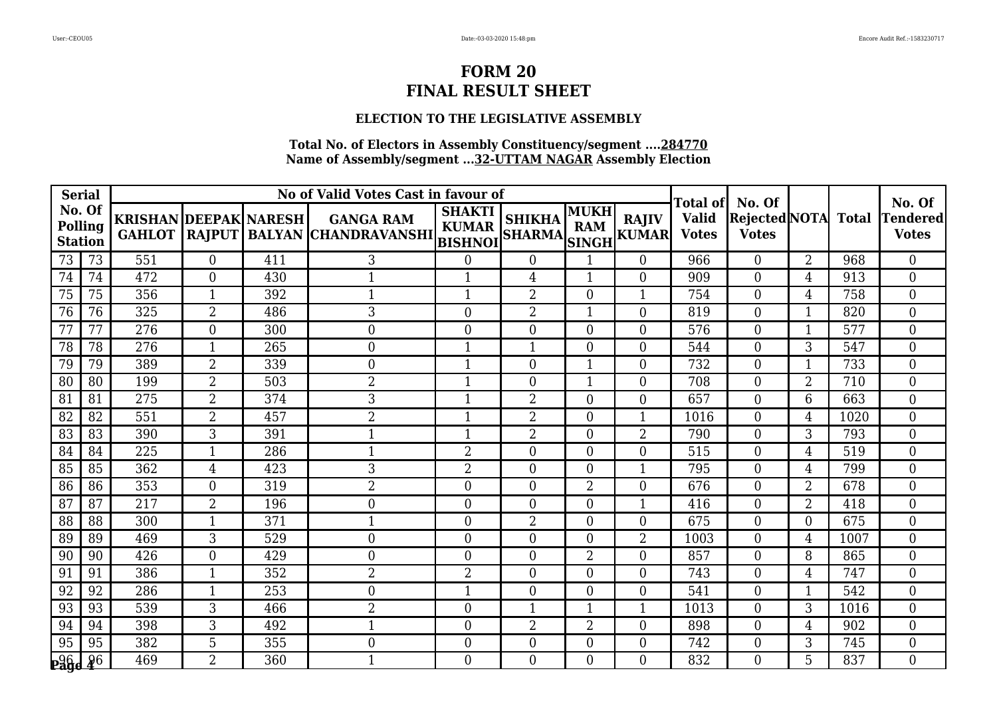## **ELECTION TO THE LEGISLATIVE ASSEMBLY**

| <b>Serial</b>                              |    |                                               |                  |     | No of Valid Votes Cast in favour of                     |                               |                                |                           |                              | <b>Total of</b>              | No. Of                         |                |              | No. Of                          |
|--------------------------------------------|----|-----------------------------------------------|------------------|-----|---------------------------------------------------------|-------------------------------|--------------------------------|---------------------------|------------------------------|------------------------------|--------------------------------|----------------|--------------|---------------------------------|
| No. Of<br><b>Polling</b><br><b>Station</b> |    | <b>KRISHAN DEEPAK NARESH</b><br><b>GAHLOT</b> |                  |     | <b>GANGA RAM</b><br>RAJPUT BALYAN CHANDRAVANSHI BISHNOI | <b>SHAKTI</b><br><b>KUMAR</b> | <b>SHIKHA</b><br><b>SHARMA</b> | <b>MUKH</b><br><b>RAM</b> | <b>RAJIV</b><br>SINGH KUMARI | <b>Valid</b><br><b>Votes</b> | Rejected NOTA <br><b>Votes</b> |                | <b>Total</b> | <b>Tendered</b><br><b>Votes</b> |
| 73                                         | 73 | 551                                           | $\boldsymbol{0}$ | 411 | 3                                                       | $\boldsymbol{0}$              | $\boldsymbol{0}$               |                           | $\overline{0}$               | 966                          | $\overline{0}$                 | $\overline{2}$ | 968          | $\overline{0}$                  |
| 74                                         | 74 | 472                                           | $\overline{0}$   | 430 | 1                                                       | 1                             | 4                              | 1                         | $\theta$                     | 909                          | $\overline{0}$                 | 4              | 913          | $\overline{0}$                  |
| 75                                         | 75 | 356                                           | $\mathbf{1}$     | 392 | $\mathbf{1}$                                            | $\mathbf{1}$                  | 2                              | $\theta$                  | 1                            | 754                          | $\overline{0}$                 | 4              | 758          | $\overline{0}$                  |
| 76                                         | 76 | 325                                           | $\overline{2}$   | 486 | 3                                                       | $\overline{0}$                | $\overline{2}$                 |                           | $\theta$                     | 819                          | $\Omega$                       | $\mathbf{1}$   | 820          | $\overline{0}$                  |
| 77                                         | 77 | 276                                           | $\overline{0}$   | 300 | $\overline{0}$                                          | $\overline{0}$                | $\overline{0}$                 | $\Omega$                  | $\Omega$                     | 576                          | $\overline{0}$                 | 1              | 577          | $\overline{0}$                  |
| 78                                         | 78 | 276                                           | 1                | 265 | $\overline{0}$                                          | 1                             | 1                              | 0                         | $\Omega$                     | 544                          | $\Omega$                       | 3              | 547          | $\overline{0}$                  |
| 79                                         | 79 | 389                                           | $\overline{2}$   | 339 | $\mathbf{0}$                                            | $\mathbf 1$                   | $\boldsymbol{0}$               | 1                         | $\theta$                     | 732                          | $\overline{0}$                 | $\mathbf{1}$   | 733          | $\overline{0}$                  |
| 80                                         | 80 | 199                                           | $\overline{2}$   | 503 | $\overline{2}$                                          | 1                             | $\overline{0}$                 | 1                         | $\overline{0}$               | 708                          | $\overline{0}$                 | $\overline{2}$ | 710          | $\overline{0}$                  |
| 81                                         | 81 | 275                                           | $\overline{2}$   | 374 | 3                                                       | $\mathbf 1$                   | 2                              | $\Omega$                  | $\theta$                     | 657                          | $\Omega$                       | 6              | 663          | $\overline{0}$                  |
| 82                                         | 82 | $\overline{551}$                              | $\overline{2}$   | 457 | $\overline{2}$                                          | $\mathbf{1}$                  | $\overline{2}$                 | $\theta$                  | $\mathbf{1}$                 | 1016                         | $\Omega$                       | 4              | 1020         | $\overline{0}$                  |
| 83                                         | 83 | 390                                           | 3                | 391 | -1                                                      | -1                            | $\overline{2}$                 | $\Omega$                  | $\overline{2}$               | 790                          | $\overline{0}$                 | 3              | 793          | $\overline{0}$                  |
| 84                                         | 84 | 225                                           | $\mathbf{1}$     | 286 | $\mathbf{1}$                                            | $\overline{2}$                | $\boldsymbol{0}$               | $\overline{0}$            | $\overline{0}$               | 515                          | $\overline{0}$                 | 4              | 519          | $\boldsymbol{0}$                |
| 85                                         | 85 | 362                                           | 4                | 423 | 3                                                       | $\overline{2}$                | $\overline{0}$                 | $\Omega$                  | $\mathbf{1}$                 | 795                          | $\Omega$                       | 4              | 799          | $\overline{0}$                  |
| 86                                         | 86 | 353                                           | $\overline{0}$   | 319 | $\overline{2}$                                          | $\theta$                      | $\overline{0}$                 | $\overline{2}$            | $\theta$                     | 676                          | $\theta$                       | $\overline{2}$ | 678          | $\overline{0}$                  |
| 87                                         | 87 | 217                                           | $\overline{2}$   | 196 | $\boldsymbol{0}$                                        | $\mathbf{0}$                  | $\boldsymbol{0}$               | $\Omega$                  | $\mathbf{1}$                 | 416                          | $\overline{0}$                 | $\overline{2}$ | 418          | $\boldsymbol{0}$                |
| 88                                         | 88 | 300                                           | 1                | 371 | 1                                                       | $\boldsymbol{0}$              | 2                              | $\Omega$                  | $\theta$                     | 675                          | $\Omega$                       | $\overline{0}$ | 675          | $\theta$                        |
| 89                                         | 89 | 469                                           | 3                | 529 | $\mathbf{0}$                                            | $\overline{0}$                | $\boldsymbol{0}$               | $\overline{0}$            | $\overline{2}$               | 1003                         | $\overline{0}$                 | 4              | 1007         | $\overline{0}$                  |
| 90                                         | 90 | 426                                           | $\overline{0}$   | 429 | $\overline{0}$                                          | $\overline{0}$                | $\overline{0}$                 | $\overline{2}$            | $\overline{0}$               | 857                          | $\overline{0}$                 | 8              | 865          | $\overline{0}$                  |
| 91                                         | 91 | 386                                           | $\mathbf{1}$     | 352 | 2                                                       | $\overline{2}$                | $\overline{0}$                 | 0                         | $\Omega$                     | 743                          | $\Omega$                       | 4              | 747          | $\Omega$                        |
| 92                                         | 92 | 286                                           | 1                | 253 | $\boldsymbol{0}$                                        | 1                             | $\boldsymbol{0}$               | $\Omega$                  | $\Omega$                     | 541                          | $\overline{0}$                 | 1              | 542          | $\overline{0}$                  |
| 93                                         | 93 | 539                                           | 3                | 466 | $\overline{2}$                                          | $\mathbf{0}$                  | $\mathbf{1}$                   |                           | $\mathbf{1}$                 | 1013                         | $\overline{0}$                 | 3              | 1016         | $\boldsymbol{0}$                |
| 94                                         | 94 | 398                                           | 3                | 492 | $\mathbf{1}$                                            | $\overline{0}$                | $\overline{2}$                 | $\overline{2}$            | $\theta$                     | 898                          | $\Omega$                       | 4              | 902          | $\overline{0}$                  |
| 95                                         | 95 | 382                                           | 5                | 355 | $\overline{0}$                                          | $\overline{0}$                | $\boldsymbol{0}$               | $\Omega$                  | $\overline{0}$               | 742                          | $\overline{0}$                 | 3              | 745          | $\overline{0}$                  |
| <b>Page 26</b>                             |    | 469                                           | $\overline{2}$   | 360 | 1                                                       | $\overline{0}$                | $\overline{0}$                 | 0                         | $\overline{0}$               | 832                          | $\Omega$                       | 5              | 837          | $\overline{0}$                  |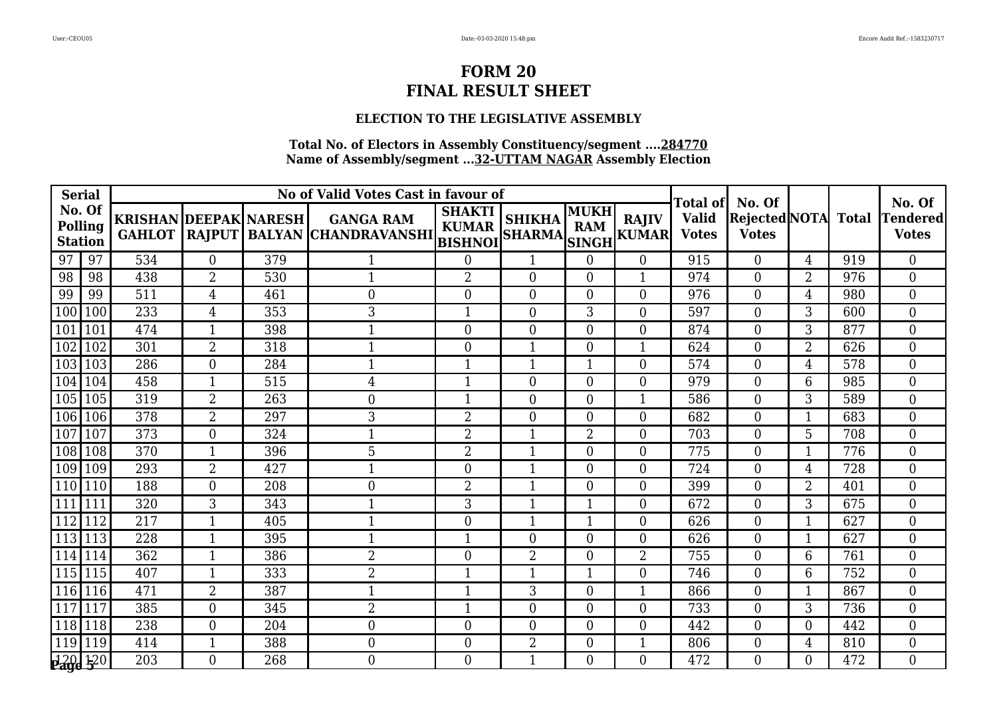## **ELECTION TO THE LEGISLATIVE ASSEMBLY**

| <b>Serial</b>                       |     |                              |                  |     | No of Valid Votes Cast in favour of                            |                               |                                |                           |                              | Total of                     | No. Of                         |                |              | No. Of                          |
|-------------------------------------|-----|------------------------------|------------------|-----|----------------------------------------------------------------|-------------------------------|--------------------------------|---------------------------|------------------------------|------------------------------|--------------------------------|----------------|--------------|---------------------------------|
| No. Of<br>Polling<br><b>Station</b> |     | <b>KRISHAN DEEPAK NARESH</b> |                  |     | <b>GANGA RAM</b><br>GAHLOT RAJPUT BALYAN CHANDRAVANSHI BISHNOI | <b>SHAKTI</b><br><b>KUMAR</b> | <b>SHIKHA</b><br><b>SHARMA</b> | <b>MUKH</b><br><b>RAM</b> | <b>RAJIV</b><br>SINGH KUMARI | <b>Valid</b><br><b>Votes</b> | Rejected NOTA <br><b>Votes</b> |                | <b>Total</b> | <b>Tendered</b><br><b>Votes</b> |
| 97                                  | 97  | 534                          | $\boldsymbol{0}$ | 379 |                                                                | $\boldsymbol{0}$              | 1                              | $\overline{0}$            | $\overline{0}$               | 915                          | $\overline{0}$                 | 4              | 919          | $\overline{0}$                  |
| 98                                  | 98  | 438                          | $\overline{2}$   | 530 | $\mathbf{1}$                                                   | $\overline{2}$                | $\overline{0}$                 | $\Omega$                  | $\mathbf{1}$                 | 974                          | $\overline{0}$                 | $\overline{2}$ | 976          | $\overline{0}$                  |
| 99                                  | 99  | 511                          | 4                | 461 | $\mathbf{0}$                                                   | $\mathbf{0}$                  | $\overline{0}$                 | $\Omega$                  | $\overline{0}$               | 976                          | $\overline{0}$                 | 4              | 980          | $\overline{0}$                  |
| 100                                 | 100 | 233                          | 4                | 353 | 3                                                              | $\mathbf{1}$                  | $\boldsymbol{0}$               | 3                         | $\overline{0}$               | 597                          | $\overline{0}$                 | 3              | 600          | $\boldsymbol{0}$                |
| 101                                 | 101 | 474                          | $\mathbf 1$      | 398 | 1                                                              | $\overline{0}$                | $\overline{0}$                 | $\overline{0}$            | $\overline{0}$               | 874                          | $\overline{0}$                 | 3              | 877          | $\overline{0}$                  |
| 102                                 | 102 | 301                          | $\overline{2}$   | 318 | $\mathbf 1$                                                    | $\overline{0}$                |                                | $\Omega$                  | $\mathbf{1}$                 | 624                          | $\Omega$                       | $\overline{2}$ | 626          | $\overline{0}$                  |
| 103 103                             |     | 286                          | $\overline{0}$   | 284 | $\mathbf{1}$                                                   | $\mathbf{1}$                  | $\mathbf{1}$                   | 1                         | $\theta$                     | 574                          | $\theta$                       | $\overline{4}$ | 578          | $\overline{0}$                  |
| 104                                 | 104 | 458                          | 1                | 515 | 4                                                              | $\mathbf{1}$                  | $\overline{0}$                 | $\Omega$                  | $\theta$                     | 979                          | $\theta$                       | 6              | 985          | $\overline{0}$                  |
| 105 105                             |     | 319                          | $\overline{2}$   | 263 | $\overline{0}$                                                 | $\mathbf{1}$                  | $\overline{0}$                 | $\Omega$                  | $\mathbf{1}$                 | 586                          | $\theta$                       | 3              | 589          | $\overline{0}$                  |
| 106 106                             |     | $\overline{378}$             | $\overline{2}$   | 297 | 3                                                              | $\overline{2}$                | $\overline{0}$                 | $\Omega$                  | $\theta$                     | 682                          | $\theta$                       | $\mathbf{1}$   | 683          | $\theta$                        |
| 107                                 | 107 | 373                          | $\overline{0}$   | 324 |                                                                | $\overline{2}$                | 1                              | 2                         | $\theta$                     | 703                          | $\overline{0}$                 | 5              | 708          | $\overline{0}$                  |
| 108 108                             |     | 370                          | $\mathbf{1}$     | 396 | 5                                                              | $\overline{2}$                | 1                              | $\Omega$                  | $\overline{0}$               | 775                          | $\overline{0}$                 | $\mathbf{1}$   | 776          | $\overline{0}$                  |
| 109 109                             |     | 293                          | $\overline{2}$   | 427 | $\mathbf 1$                                                    | $\overline{0}$                | 1                              | 0                         | $\theta$                     | 724                          | $\theta$                       | 4              | 728          | $\overline{0}$                  |
| $\sqrt{110}$  110                   |     | 188                          | $\overline{0}$   | 208 | $\overline{0}$                                                 | $\overline{2}$                | 1                              | $\Omega$                  | $\overline{0}$               | 399                          | $\overline{0}$                 | $\overline{2}$ | 401          | $\overline{0}$                  |
| 111                                 | 111 | 320                          | 3                | 343 | 1                                                              | 3                             | 1                              |                           | $\overline{0}$               | 672                          | $\overline{0}$                 | 3              | 675          | $\boldsymbol{0}$                |
| 112                                 | 112 | 217                          | $\mathbf{1}$     | 405 | 1                                                              | $\mathbf{0}$                  | $\mathbf{1}$                   | 1                         | $\Omega$                     | 626                          | $\Omega$                       | $\mathbf{1}$   | 627          | $\overline{0}$                  |
| 113                                 | 113 | 228                          | 1                | 395 | $\mathbf 1$                                                    | $\mathbf{1}$                  | $\overline{0}$                 | $\Omega$                  | $\overline{0}$               | 626                          | $\overline{0}$                 | $\mathbf{1}$   | 627          | $\overline{0}$                  |
| 114                                 | 114 | 362                          | $\mathbf{1}$     | 386 | $\overline{2}$                                                 | $\mathbf{0}$                  | $\overline{2}$                 | $\theta$                  | $\overline{2}$               | 755                          | $\overline{0}$                 | 6              | 761          | $\overline{0}$                  |
| $115$  115                          |     | 407                          | $\mathbf 1$      | 333 | $\overline{2}$                                                 | $\mathbf{1}$                  | $\mathbf{1}$                   |                           | $\overline{0}$               | 746                          | $\overline{0}$                 | 6              | 752          | $\overline{0}$                  |
| 116                                 | 116 | 471                          | $\overline{2}$   | 387 | $\mathbf 1$                                                    | $\mathbf{1}$                  | 3                              | $\Omega$                  | $\mathbf 1$                  | 866                          | $\theta$                       | 1              | 867          | $\overline{0}$                  |
| 117                                 | 117 | 385                          | $\overline{0}$   | 345 | $\overline{2}$                                                 | $\mathbf{1}$                  | $\overline{0}$                 | $\Omega$                  | $\overline{0}$               | 733                          | $\theta$                       | 3              | 736          | $\theta$                        |
| 118 118                             |     | 238                          | $\theta$         | 204 | $\overline{0}$                                                 | $\overline{0}$                | $\overline{0}$                 | $\Omega$                  | $\Omega$                     | 442                          | $\theta$                       | 0              | 442          | $\overline{0}$                  |
| 119                                 | 119 | 414                          | 1                | 388 | $\mathbf{0}$                                                   | $\boldsymbol{0}$              | $\overline{2}$                 | $\Omega$                  | $\mathbf{1}$                 | 806                          | $\overline{0}$                 | 4              | 810          | $\overline{0}$                  |
| <b>220 120</b>                      |     | 203                          | $\Omega$         | 268 | $\theta$                                                       | $\Omega$                      | 1                              | 0                         | $\Omega$                     | 472                          | 0                              | 0              | 472          | $\Omega$                        |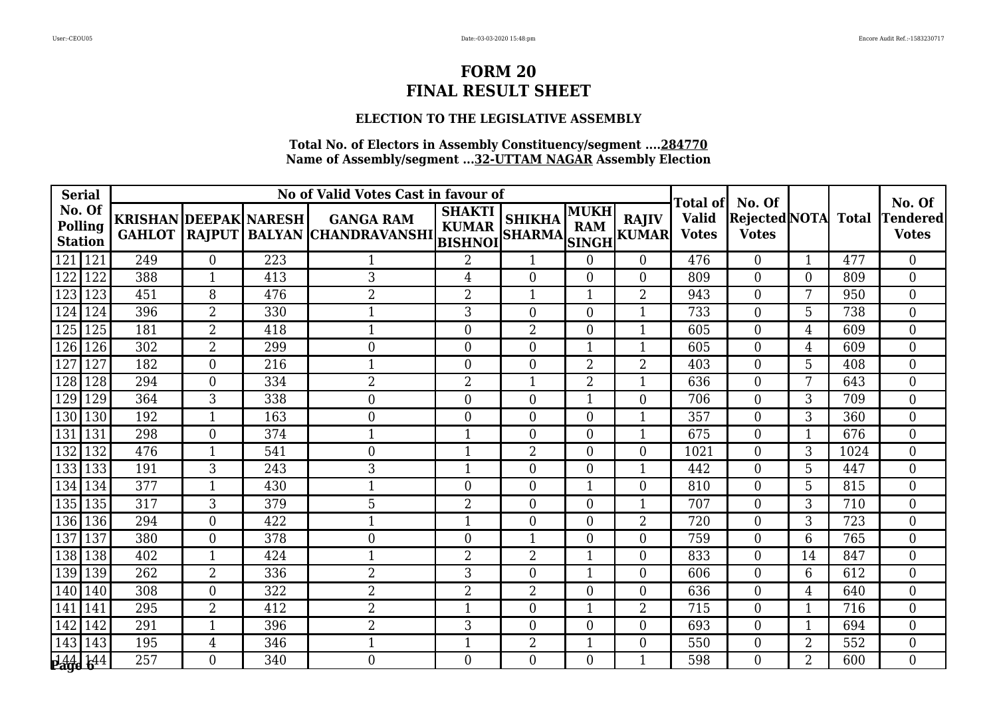## **ELECTION TO THE LEGISLATIVE ASSEMBLY**

| <b>Serial</b>                       |                              |                  |     | No of Valid Votes Cast in favour of                                 |                               |                                |                    |                              | <b>Total of</b>              | No. Of                         |                |              | No. Of                          |
|-------------------------------------|------------------------------|------------------|-----|---------------------------------------------------------------------|-------------------------------|--------------------------------|--------------------|------------------------------|------------------------------|--------------------------------|----------------|--------------|---------------------------------|
| No. Of<br>Polling<br><b>Station</b> | <b>KRISHAN DEEPAK NARESH</b> |                  |     | <b>GANGA RAM</b><br>GAHLOT  RAJPUT   BALYAN  CHANDRAVANSHI   RUPLAN | <b>SHAKTI</b><br><b>KUMAR</b> | <b>SHIKHA</b><br><b>SHARMA</b> | MUKH<br><b>RAM</b> | <b>RAJIV</b><br>SINGH KUMARI | <b>Valid</b><br><b>Votes</b> | Rejected NOTA <br><b>Votes</b> |                | <b>Total</b> | <b>Tendered</b><br><b>Votes</b> |
| 121 121                             | 249                          | $\boldsymbol{0}$ | 223 |                                                                     | $\overline{2}$                | 1                              | $\Omega$           | $\overline{0}$               | 476                          | $\overline{0}$                 | $\mathbf{1}$   | 477          | $\boldsymbol{0}$                |
| 122<br>122                          | 388                          | $\mathbf{1}$     | 413 | 3                                                                   | $\overline{4}$                | $\overline{0}$                 | $\theta$           | $\overline{0}$               | 809                          | $\overline{0}$                 | $\overline{0}$ | 809          | $\overline{0}$                  |
| 123<br>123                          | 451                          | 8                | 476 | $\overline{2}$                                                      | $\overline{2}$                | 1                              |                    | $\overline{2}$               | 943                          | $\Omega$                       | 7              | 950          | $\overline{0}$                  |
| 124<br>124                          | 396                          | $\overline{2}$   | 330 | 1                                                                   | 3                             | $\overline{0}$                 | $\Omega$           | $\mathbf{1}$                 | 733                          | $\Omega$                       | 5              | 738          | $\overline{0}$                  |
| 125<br>125                          | 181                          | $\overline{2}$   | 418 | $\mathbf 1$                                                         | $\overline{0}$                | $\overline{2}$                 | $\Omega$           | $\mathbf{1}$                 | 605                          | $\theta$                       | 4              | 609          | $\overline{0}$                  |
| 126<br>126                          | 302                          | $\overline{2}$   | 299 | $\overline{0}$                                                      | $\overline{0}$                | $\overline{0}$                 |                    | $\mathbf{1}$                 | 605                          | $\theta$                       | 4              | 609          | $\overline{0}$                  |
| 127<br>127                          | 182                          | $\overline{0}$   | 216 | $\mathbf 1$                                                         | $\overline{0}$                | $\overline{0}$                 | $\overline{2}$     | $\overline{2}$               | 403                          | $\theta$                       | 5              | 408          | $\theta$                        |
| 128<br>128                          | 294                          | $\overline{0}$   | 334 | $\overline{2}$                                                      | $\overline{2}$                | 1                              | $\overline{2}$     | 1                            | 636                          | $\overline{0}$                 | 7              | 643          | $\overline{0}$                  |
| 129<br>129                          | 364                          | 3                | 338 | $\mathbf{0}$                                                        | $\boldsymbol{0}$              | $\overline{0}$                 | 1                  | $\overline{0}$               | 706                          | $\overline{0}$                 | 3              | 709          | $\boldsymbol{0}$                |
| 130 130                             | 192                          | $\mathbf{1}$     | 163 | $\boldsymbol{0}$                                                    | $\boldsymbol{0}$              | $\overline{0}$                 | $\overline{0}$     | $\mathbf{1}$                 | 357                          | $\Omega$                       | 3              | 360          | $\overline{0}$                  |
| 131<br>131                          | 298                          | $\overline{0}$   | 374 | $\mathbf 1$                                                         | $\mathbf{1}$                  | $\boldsymbol{0}$               | $\overline{0}$     | 1                            | 675                          | $\overline{0}$                 | 1              | 676          | $\overline{0}$                  |
| 132<br>132                          | 476                          | $\mathbf{1}$     | 541 | $\overline{0}$                                                      | $\mathbf{1}$                  | $\overline{2}$                 | $\Omega$           | $\overline{0}$               | 1021                         | $\overline{0}$                 | 3              | 1024         | $\overline{0}$                  |
| 133 133                             | 191                          | 3                | 243 | 3                                                                   | $\mathbf{1}$                  | $\Omega$                       | $\Omega$           | $\mathbf{1}$                 | 442                          | $\theta$                       | 5              | 447          | $\Omega$                        |
| 134 134                             | 377                          | $\mathbf{1}$     | 430 | $\mathbf{1}$                                                        | $\overline{0}$                | $\overline{0}$                 |                    | $\Omega$                     | 810                          | $\theta$                       | 5              | 815          | $\Omega$                        |
| 135 135                             | 317                          | 3                | 379 | 5                                                                   | $\overline{2}$                | $\overline{0}$                 | $\theta$           | $\mathbf{1}$                 | 707                          | $\overline{0}$                 | 3              | 710          | $\overline{0}$                  |
| 136 136                             | 294                          | $\overline{0}$   | 422 | 1                                                                   | $\mathbf{1}$                  | $\overline{0}$                 | $\Omega$           | $\overline{2}$               | 720                          | $\theta$                       | 3              | 723          | $\overline{0}$                  |
| 137<br>137                          | 380                          | $\overline{0}$   | 378 | $\mathbf{0}$                                                        | $\boldsymbol{0}$              | 1                              | $\Omega$           | $\overline{0}$               | 759                          | $\theta$                       | 6              | 765          | $\overline{0}$                  |
| 138 138                             | 402                          | 1                | 424 | $\mathbf 1$                                                         | $\overline{2}$                | $\overline{2}$                 | 1                  | $\Omega$                     | 833                          | $\theta$                       | 14             | 847          | $\overline{0}$                  |
| 139 139                             | 262                          | $\overline{2}$   | 336 | $\overline{2}$                                                      | 3                             | $\overline{0}$                 |                    | $\overline{0}$               | 606                          | $\overline{0}$                 | 6              | 612          | $\overline{0}$                  |
| 140<br>140                          | 308                          | $\boldsymbol{0}$ | 322 | $\overline{2}$                                                      | $\overline{2}$                | $\overline{2}$                 | $\theta$           | $\overline{0}$               | 636                          | $\overline{0}$                 | 4              | 640          | $\boldsymbol{0}$                |
| 141<br>141                          | 295                          | $\overline{2}$   | 412 | $\overline{2}$                                                      | $\mathbf{1}$                  | $\overline{0}$                 | 1                  | $\overline{2}$               | 715                          | $\theta$                       | 1              | 716          | $\overline{0}$                  |
| 142<br>142                          | 291                          | 1                | 396 | $\overline{2}$                                                      | 3                             | $\overline{0}$                 | $\Omega$           | $\overline{0}$               | 693                          | $\theta$                       | 1              | 694          | $\overline{0}$                  |
| 143<br>143                          | 195                          | 4                | 346 | $\mathbf{1}$                                                        | $\mathbf{1}$                  | $\overline{2}$                 | $\mathbf{1}$       | $\overline{0}$               | 550                          | $\overline{0}$                 | 2              | 552          | $\overline{0}$                  |
| <b>Page 644</b>                     | 257                          | $\Omega$         | 340 | $\theta$                                                            | $\Omega$                      | $\Omega$                       | 0                  | 1                            | 598                          | $\Omega$                       | $\overline{2}$ | 600          | $\Omega$                        |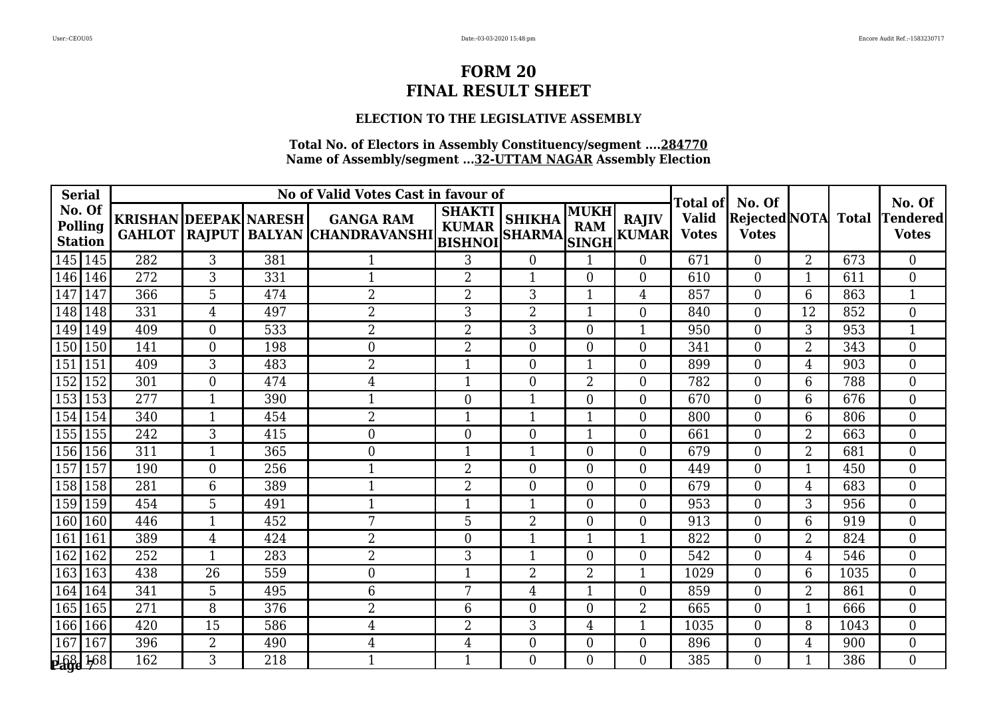## **ELECTION TO THE LEGISLATIVE ASSEMBLY**

| <b>Serial</b>                       |                                               |                |     | No of Valid Votes Cast in favour of                     |                               |                                |                           |                              | Total of                     | No. Of                         |                |              | No. Of                          |
|-------------------------------------|-----------------------------------------------|----------------|-----|---------------------------------------------------------|-------------------------------|--------------------------------|---------------------------|------------------------------|------------------------------|--------------------------------|----------------|--------------|---------------------------------|
| No. Of<br>Polling<br><b>Station</b> | <b>KRISHAN DEEPAK NARESH</b><br><b>GAHLOT</b> |                |     | <b>GANGA RAM</b><br>RAJPUT BALYAN CHANDRAVANSHI BISHNOI | <b>SHAKTI</b><br><b>KUMAR</b> | <b>SHIKHA</b><br><b>SHARMA</b> | <b>MUKH</b><br><b>RAM</b> | <b>RAJIV</b><br>SINGH KUMARI | <b>Valid</b><br><b>Votes</b> | Rejected NOTA <br><b>Votes</b> |                | <b>Total</b> | <b>Tendered</b><br><b>Votes</b> |
| 145   145                           | 282                                           | 3              | 381 |                                                         | 3                             | $\overline{0}$                 |                           | $\overline{0}$               | 671                          | $\overline{0}$                 | $\overline{2}$ | 673          | $\overline{0}$                  |
| 146 146                             | 272                                           | 3              | 331 | $\mathbf{1}$                                            | $\overline{2}$                | $\mathbf{1}$                   | $\theta$                  | $\Omega$                     | 610                          | $\overline{0}$                 | $\mathbf{1}$   | 611          | $\overline{0}$                  |
| $\overline{147}$<br>147             | 366                                           | 5              | 474 | $\overline{2}$                                          | $\overline{2}$                | 3                              |                           | 4                            | 857                          | $\overline{0}$                 | 6              | 863          | $\mathbf 1$                     |
| 148 148                             | 331                                           | 4              | 497 | $\overline{2}$                                          | 3                             | $\overline{2}$                 |                           | $\overline{0}$               | 840                          | $\overline{0}$                 | 12             | 852          | $\boldsymbol{0}$                |
| 149 149                             | 409                                           | $\overline{0}$ | 533 | $\overline{2}$                                          | $\overline{2}$                | 3                              | $\overline{0}$            | $\mathbf{1}$                 | 950                          | $\overline{0}$                 | 3              | 953          | $\mathbf{1}$                    |
| 150<br>150                          | 141                                           | $\overline{0}$ | 198 | $\overline{0}$                                          | $\overline{2}$                | $\overline{0}$                 | $\Omega$                  | $\theta$                     | 341                          | $\theta$                       | $\overline{2}$ | 343          | $\overline{0}$                  |
| 151<br>151                          | 409                                           | $\overline{3}$ | 483 | $\overline{2}$                                          | $\mathbf{1}$                  | $\overline{0}$                 | 1                         | $\Omega$                     | 899                          | $\theta$                       | $\overline{4}$ | 903          | $\overline{0}$                  |
| 152<br>152                          | 301                                           | $\overline{0}$ | 474 | $\overline{4}$                                          | $\mathbf{1}$                  | $\overline{0}$                 | $\overline{2}$            | $\theta$                     | 782                          | $\theta$                       | 6              | 788          | $\overline{0}$                  |
| 153<br>153                          | 277                                           | $\mathbf{1}$   | 390 | 1                                                       | $\overline{0}$                | $\mathbf{1}$                   | $\Omega$                  | $\overline{0}$               | 670                          | $\theta$                       | 6              | 676          | $\overline{0}$                  |
| 154<br>154                          | 340                                           | 1              | 454 | $\overline{2}$                                          | $\mathbf{1}$                  | 1                              | 1                         | $\Omega$                     | 800                          | $\Omega$                       | 6              | 806          | $\theta$                        |
| 155 155                             | 242                                           | 3              | 415 | $\mathbf{0}$                                            | $\mathbf{0}$                  | $\boldsymbol{0}$               |                           | $\Omega$                     | 661                          | $\overline{0}$                 | 2              | 663          | $\overline{0}$                  |
| 156 156                             | 311                                           | $\mathbf{1}$   | 365 | $\mathbf{0}$                                            | $\mathbf{1}$                  | 1                              | 0                         | $\overline{0}$               | 679                          | $\overline{0}$                 | $\overline{2}$ | 681          | $\overline{0}$                  |
| 157<br>157                          | 190                                           | $\theta$       | 256 | $\mathbf 1$                                             | $\overline{2}$                | $\overline{0}$                 | $\Omega$                  | $\theta$                     | 449                          | $\theta$                       | $\mathbf{1}$   | 450          | $\overline{0}$                  |
| 158 158                             | 281                                           | 6              | 389 | $\mathbf 1$                                             | $\overline{2}$                | $\overline{0}$                 | $\Omega$                  | $\overline{0}$               | 679                          | $\theta$                       | 4              | 683          | $\overline{0}$                  |
| 159 159                             | 454                                           | 5              | 491 | $\mathbf 1$                                             | $\mathbf{1}$                  | 1                              | $\overline{0}$            | $\overline{0}$               | 953                          | $\overline{0}$                 | 3              | 956          | $\boldsymbol{0}$                |
| 160 160                             | 446                                           | $\mathbf{1}$   | 452 | 7                                                       | 5                             | $\overline{2}$                 | $\Omega$                  | $\Omega$                     | 913                          | $\Omega$                       | 6              | 919          | $\overline{0}$                  |
| 161<br>161                          | 389                                           | 4              | 424 | $\overline{2}$                                          | $\mathbf{0}$                  | 1                              |                           | $\mathbf{1}$                 | 822                          | $\overline{0}$                 | $\overline{2}$ | 824          | $\overline{0}$                  |
| 162<br>162                          | 252                                           | $\mathbf{1}$   | 283 | $\overline{2}$                                          | 3                             | $\mathbf{1}$                   | $\theta$                  | $\theta$                     | 542                          | $\overline{0}$                 | 4              | 546          | $\overline{0}$                  |
| 163<br>163                          | 438                                           | 26             | 559 | $\boldsymbol{0}$                                        | $\mathbf{1}$                  | $\overline{2}$                 | 2                         | $\mathbf 1$                  | 1029                         | $\overline{0}$                 | 6              | 1035         | $\overline{0}$                  |
| 164<br>164                          | 341                                           | 5              | 495 | 6                                                       | 7                             | $\overline{4}$                 |                           | $\theta$                     | 859                          | $\theta$                       | $\overline{2}$ | 861          | $\overline{0}$                  |
| 165 165                             | 271                                           | 8              | 376 | $\overline{2}$                                          | 6                             | $\overline{0}$                 | $\Omega$                  | $\overline{2}$               | 665                          | $\theta$                       | $\mathbf{1}$   | 666          | $\theta$                        |
| 166 166                             | 420                                           | 15             | 586 | 4                                                       | $\overline{2}$                | 3                              | 4                         | 1                            | 1035                         | $\theta$                       | 8              | 1043         | $\overline{0}$                  |
| 167<br>167                          | 396                                           | $\overline{2}$ | 490 | $\overline{4}$                                          | $\overline{4}$                | $\overline{0}$                 | $\Omega$                  | $\overline{0}$               | 896                          | $\theta$                       | 4              | 900          | $\overline{0}$                  |
| <b>168 168</b>                      | 162                                           | 3              | 218 | $\mathbf 1$                                             | $\mathbf{1}$                  | $\Omega$                       | 0                         | $\Omega$                     | 385                          | 0                              | 1              | 386          | $\Omega$                        |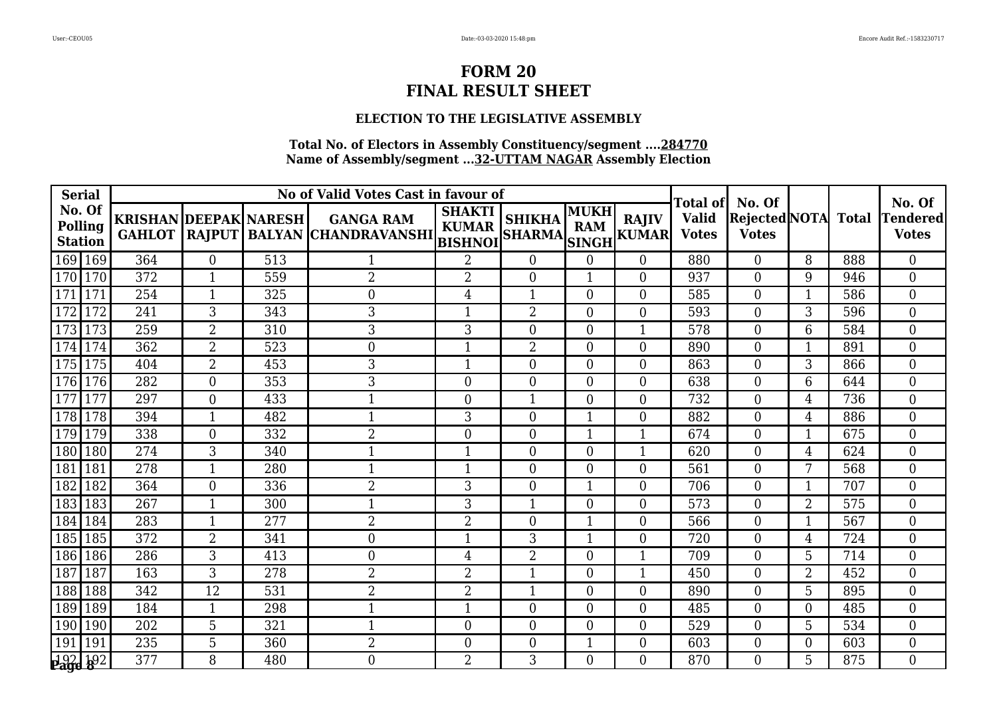## **ELECTION TO THE LEGISLATIVE ASSEMBLY**

| <b>Serial</b>                       |                              |                  |     | No of Valid Votes Cast in favour of                                 |                               |                                |                    |                              | <b>Total of</b>              | No. Of                         |                |              | No. Of                   |
|-------------------------------------|------------------------------|------------------|-----|---------------------------------------------------------------------|-------------------------------|--------------------------------|--------------------|------------------------------|------------------------------|--------------------------------|----------------|--------------|--------------------------|
| No. Of<br>Polling<br><b>Station</b> | <b>KRISHAN DEEPAK NARESH</b> |                  |     | <b>GANGA RAM</b><br>GAHLOT  RAJPUT   BALYAN  CHANDRAVANSHI   RUPLAN | <b>SHAKTI</b><br><b>KUMAR</b> | <b>SHIKHA</b><br><b>SHARMA</b> | MUKH<br><b>RAM</b> | <b>RAJIV</b><br>SINGH KUMARI | <b>Valid</b><br><b>Votes</b> | Rejected NOTA <br><b>Votes</b> |                | <b>Total</b> | Tendered<br><b>Votes</b> |
| 169 169                             | 364                          | $\boldsymbol{0}$ | 513 |                                                                     | $\overline{2}$                | $\overline{0}$                 | $\Omega$           | $\overline{0}$               | 880                          | $\overline{0}$                 | 8              | 888          | $\boldsymbol{0}$         |
| 170 170                             | 372                          | $\mathbf{1}$     | 559 | $\overline{2}$                                                      | $\overline{2}$                | $\overline{0}$                 | 1                  | $\overline{0}$               | 937                          | $\overline{0}$                 | 9              | 946          | $\overline{0}$           |
| 171<br>171                          | 254                          | $\mathbf{1}$     | 325 | $\overline{0}$                                                      | $\overline{4}$                | 1                              | $\Omega$           | $\Omega$                     | 585                          | $\Omega$                       | 1              | 586          | $\overline{0}$           |
| 172<br>172                          | 241                          | $\overline{3}$   | 343 | 3                                                                   | $\mathbf{1}$                  | $\overline{2}$                 | $\Omega$           | $\Omega$                     | 593                          | $\Omega$                       | 3              | 596          | $\overline{0}$           |
| 173<br>173                          | 259                          | $\overline{2}$   | 310 | 3                                                                   | 3                             | $\overline{0}$                 | $\Omega$           | 1                            | 578                          | $\theta$                       | 6              | 584          | $\overline{0}$           |
| 174<br>174                          | 362                          | $\overline{2}$   | 523 | $\theta$                                                            | $\mathbf{1}$                  | $\overline{2}$                 | $\Omega$           | $\Omega$                     | 890                          | $\theta$                       | 1              | 891          | $\overline{0}$           |
| 175 175                             | 404                          | $\overline{2}$   | 453 | 3                                                                   | $\mathbf{1}$                  | $\overline{0}$                 | $\Omega$           | $\Omega$                     | 863                          | $\theta$                       | 3              | 866          | $\theta$                 |
| 176 176                             | 282                          | $\overline{0}$   | 353 | 3                                                                   | $\mathbf{0}$                  | $\overline{0}$                 | 0                  | $\overline{0}$               | 638                          | $\overline{0}$                 | 6              | 644          | $\overline{0}$           |
| <sup>177</sup><br>177               | 297                          | $\overline{0}$   | 433 | 1                                                                   | $\boldsymbol{0}$              | 1                              | $\Omega$           | $\overline{0}$               | 732                          | $\overline{0}$                 | 4              | 736          | $\boldsymbol{0}$         |
| 178 178                             | 394                          | $\mathbf{1}$     | 482 | $\mathbf{1}$                                                        | 3                             | $\overline{0}$                 | $\mathbf 1$        | $\overline{0}$               | 882                          | $\Omega$                       | 4              | 886          | $\overline{0}$           |
| 179 179                             | 338                          | $\boldsymbol{0}$ | 332 | $\overline{2}$                                                      | $\mathbf{0}$                  | $\boldsymbol{0}$               |                    | 1                            | 674                          | $\overline{0}$                 | 1              | 675          | $\overline{0}$           |
| 180 180                             | 274                          | $\overline{3}$   | 340 | $\mathbf{1}$                                                        | $\mathbf{1}$                  | $\overline{0}$                 | $\overline{0}$     | $\mathbf{1}$                 | 620                          | $\overline{0}$                 | 4              | 624          | $\overline{0}$           |
| 181<br>181                          | 278                          | $\mathbf{1}$     | 280 | $\mathbf{1}$                                                        | $\mathbf{1}$                  | $\Omega$                       | $\Omega$           | $\Omega$                     | 561                          | $\Omega$                       | 7              | 568          | $\Omega$                 |
| 182<br>182                          | 364                          | $\Omega$         | 336 | $\overline{2}$                                                      | 3                             | $\overline{0}$                 |                    | $\theta$                     | 706                          | $\theta$                       | 1              | 707          | $\Omega$                 |
| 183<br>183                          | 267                          | $\mathbf{1}$     | 300 | $\mathbf 1$                                                         | 3                             | 1                              | $\theta$           | $\overline{0}$               | 573                          | $\overline{0}$                 | $\overline{2}$ | 575          | $\overline{0}$           |
| 184<br>184                          | 283                          | 1                | 277 | $\overline{2}$                                                      | $\overline{2}$                | $\overline{0}$                 | 1                  | $\theta$                     | 566                          | $\theta$                       | $\mathbf{1}$   | 567          | $\overline{0}$           |
| 185 185                             | 372                          | $\overline{2}$   | 341 | $\mathbf{0}$                                                        | $\mathbf{1}$                  | 3                              | 1                  | $\theta$                     | 720                          | $\theta$                       | 4              | 724          | $\overline{0}$           |
| 186 186                             | 286                          | 3                | 413 | $\overline{0}$                                                      | $\overline{4}$                | $\overline{2}$                 | $\Omega$           | 1                            | 709                          | $\theta$                       | 5              | 714          | $\theta$                 |
| 187<br>187                          | 163                          | 3                | 278 | $\overline{2}$                                                      | $\overline{2}$                | 1                              | $\Omega$           | $\mathbf{1}$                 | 450                          | $\overline{0}$                 | 2              | 452          | $\overline{0}$           |
| 188<br>188                          | 342                          | 12               | 531 | $\overline{2}$                                                      | $\overline{2}$                | 1                              | $\Omega$           | $\overline{0}$               | 890                          | $\Omega$                       | $5\phantom{.}$ | 895          | $\boldsymbol{0}$         |
| 189 189                             | 184                          | $\mathbf{1}$     | 298 | $\mathbf{1}$                                                        | $\mathbf{1}$                  | $\overline{0}$                 | $\Omega$           | $\overline{0}$               | 485                          | $\Omega$                       | $\Omega$       | 485          | $\overline{0}$           |
| 190<br>190                          | 202                          | 5                | 321 | -1                                                                  | $\overline{0}$                | $\overline{0}$                 | $\Omega$           | $\Omega$                     | 529                          | $\theta$                       | 5              | 534          | $\overline{0}$           |
| 191<br>191                          | 235                          | 5                | 360 | $\overline{2}$                                                      | $\boldsymbol{0}$              | $\overline{0}$                 | $\mathbf{1}$       | $\overline{0}$               | 603                          | $\overline{0}$                 | $\Omega$       | 603          | $\overline{0}$           |
| 192 192                             | 377                          | 8                | 480 | $\theta$                                                            | $\overline{2}$                | 3                              | 0                  | $\Omega$                     | 870                          | 0                              | 5              | 875          | $\Omega$                 |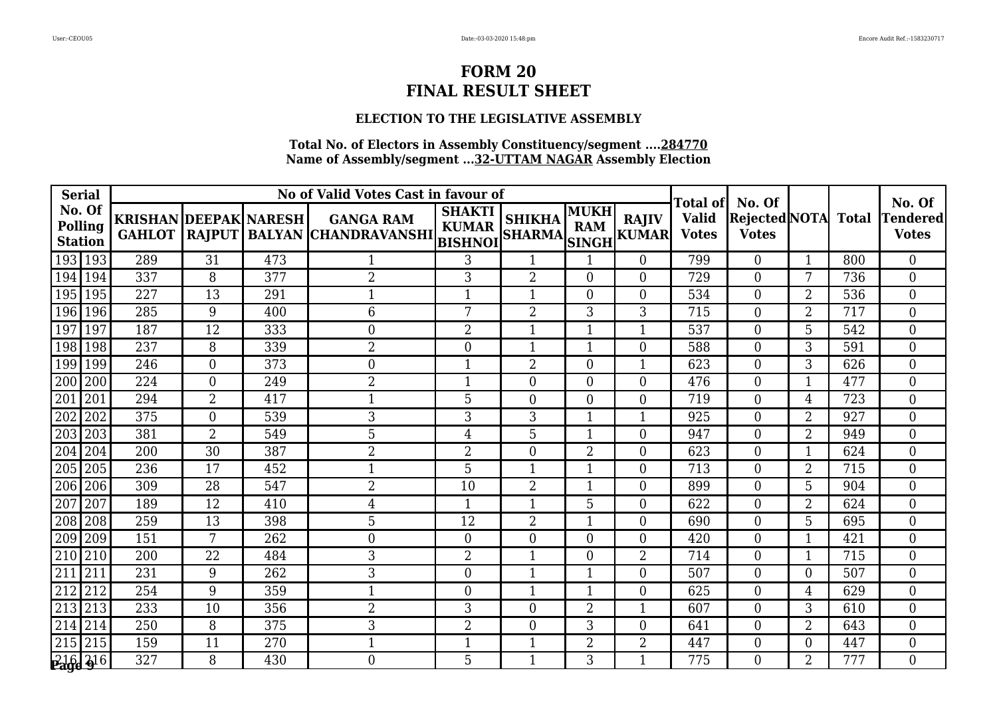## **ELECTION TO THE LEGISLATIVE ASSEMBLY**

| <b>Serial</b>                       |     |                |                              | No of Valid Votes Cast in favour of                                 |                               |                                |                    |                             | <b>Total of</b>              | No. Of                         |                |              | No. Of                          |
|-------------------------------------|-----|----------------|------------------------------|---------------------------------------------------------------------|-------------------------------|--------------------------------|--------------------|-----------------------------|------------------------------|--------------------------------|----------------|--------------|---------------------------------|
| No. Of<br>Polling<br><b>Station</b> |     |                | <b>KRISHAN DEEPAK NARESH</b> | <b>GANGA RAM</b><br>GAHLOT  RAJPUT   BALYAN  CHANDRAVANSHI   RUPLAN | <b>SHAKTI</b><br><b>KUMAR</b> | <b>SHIKHA</b><br><b>SHARMA</b> | MUKH<br><b>RAM</b> | <b>RAJIV</b><br>SINGH KUMAR | <b>Valid</b><br><b>Votes</b> | Rejected NOTA <br><b>Votes</b> |                | <b>Total</b> | <b>Tendered</b><br><b>Votes</b> |
| 193 193                             | 289 | 31             | 473                          |                                                                     | 3                             | 1                              |                    | $\overline{0}$              | 799                          | $\overline{0}$                 | 1              | 800          | $\overline{0}$                  |
| 194 194                             | 337 | 8              | 377                          | $\overline{2}$                                                      | 3                             | $\overline{2}$                 | $\theta$           | $\overline{0}$              | 729                          | $\overline{0}$                 | 7              | 736          | $\overline{0}$                  |
| 195<br>195                          | 227 | 13             | 291                          | $\mathbf{1}$                                                        | $\mathbf{1}$                  | 1                              | $\Omega$           | $\Omega$                    | 534                          | $\Omega$                       | $\overline{2}$ | 536          | $\overline{0}$                  |
| 196 196                             | 285 | 9              | 400                          | 6                                                                   | 7                             | $\overline{2}$                 | 3                  | 3                           | 715                          | $\Omega$                       | $\overline{2}$ | 717          | $\overline{0}$                  |
| 197<br>197                          | 187 | 12             | 333                          | $\overline{0}$                                                      | $\overline{2}$                | 1                              |                    | 1                           | 537                          | $\theta$                       | 5              | 542          | $\overline{0}$                  |
| 198 198                             | 237 | 8              | 339                          | $\overline{2}$                                                      | $\overline{0}$                | 1                              |                    | $\theta$                    | 588                          | $\theta$                       | 3              | 591          | $\overline{0}$                  |
| 199 199                             | 246 | $\overline{0}$ | 373                          | $\overline{0}$                                                      | $\mathbf{1}$                  | $\overline{2}$                 | 0                  | $\mathbf{1}$                | 623                          | $\theta$                       | 3              | 626          | $\theta$                        |
| 200 200                             | 224 | $\overline{0}$ | 249                          | $\overline{2}$                                                      | 1                             | $\overline{0}$                 | 0                  | $\theta$                    | 476                          | $\overline{0}$                 | 1              | 477          | $\overline{0}$                  |
| 201<br>201                          | 294 | $\overline{2}$ | 417                          | 1                                                                   | 5                             | $\overline{0}$                 | $\Omega$           | $\overline{0}$              | 719                          | $\overline{0}$                 | 4              | 723          | $\boldsymbol{0}$                |
| 202<br>202                          | 375 | $\overline{0}$ | 539                          | 3                                                                   | 3                             | 3                              | $\mathbf 1$        | $\mathbf{1}$                | 925                          | $\Omega$                       | $\overline{2}$ | 927          | $\overline{0}$                  |
| 203 203                             | 381 | $\overline{2}$ | 549                          | 5                                                                   | 4                             | 5                              |                    | $\overline{0}$              | 947                          | $\overline{0}$                 | $\overline{2}$ | 949          | $\overline{0}$                  |
| 204<br>204                          | 200 | 30             | 387                          | $\overline{2}$                                                      | $\overline{2}$                | $\overline{0}$                 | $\overline{2}$     | $\overline{0}$              | 623                          | $\overline{0}$                 | 1              | 624          | $\overline{0}$                  |
| 205 205                             | 236 | 17             | 452                          | $\mathbf{1}$                                                        | 5                             | $\mathbf{1}$                   | 1                  | $\Omega$                    | 713                          | $\Omega$                       | $\overline{2}$ | 715          | $\Omega$                        |
| 206 206                             | 309 | 28             | 547                          | $\overline{2}$                                                      | 10                            | $\overline{2}$                 |                    | $\theta$                    | 899                          | $\theta$                       | 5              | 904          | $\Omega$                        |
| 207<br>207                          | 189 | 12             | 410                          | $\overline{4}$                                                      | $\mathbf{1}$                  | 1                              | 5                  | $\overline{0}$              | 622                          | $\Omega$                       | $\overline{2}$ | 624          | $\overline{0}$                  |
| 208 208                             | 259 | 13             | 398                          | 5                                                                   | 12                            | $\overline{2}$                 | 1                  | $\theta$                    | 690                          | $\theta$                       | 5              | 695          | $\overline{0}$                  |
| 209 209                             | 151 | 7              | 262                          | $\mathbf{0}$                                                        | $\overline{0}$                | $\overline{0}$                 | $\Omega$           | $\theta$                    | 420                          | $\theta$                       | 1              | 421          | $\overline{0}$                  |
| 210 210                             | 200 | 22             | 484                          | 3                                                                   | $\overline{2}$                | 1                              | $\Omega$           | $\overline{2}$              | 714                          | $\theta$                       | 1              | 715          | $\theta$                        |
| 211<br>211                          | 231 | 9              | 262                          | 3                                                                   | $\boldsymbol{0}$              | 1                              |                    | $\overline{0}$              | 507                          | $\Omega$                       | $\Omega$       | 507          | $\overline{0}$                  |
| 212<br>212                          | 254 | 9              | 359                          | $\mathbf{1}$                                                        | $\boldsymbol{0}$              | 1                              |                    | $\overline{0}$              | 625                          | $\Omega$                       | 4              | 629          | $\boldsymbol{0}$                |
| 213 213                             | 233 | 10             | 356                          | $\overline{2}$                                                      | 3                             | $\overline{0}$                 | $\overline{2}$     | $\mathbf{1}$                | 607                          | $\Omega$                       | 3              | 610          | $\overline{0}$                  |
| $214$ 214                           | 250 | 8              | 375                          | 3                                                                   | $\overline{2}$                | $\Omega$                       | 3                  | $\Omega$                    | 641                          | $\theta$                       | $\overline{2}$ | 643          | $\overline{0}$                  |
| $215 \overline{215}$                | 159 | 11             | 270                          | $\mathbf{1}$                                                        | $\mathbf{1}$                  | $\mathbf{1}$                   | 2                  | $\overline{2}$              | 447                          | $\theta$                       | $\Omega$       | 447          | $\overline{0}$                  |
| $216\overline{3}16$                 | 327 | 8              | 430                          | $\theta$                                                            | 5                             | 1                              | 3                  | $\mathbf{1}$                | 775                          | 0                              | $\overline{2}$ | 777          | $\Omega$                        |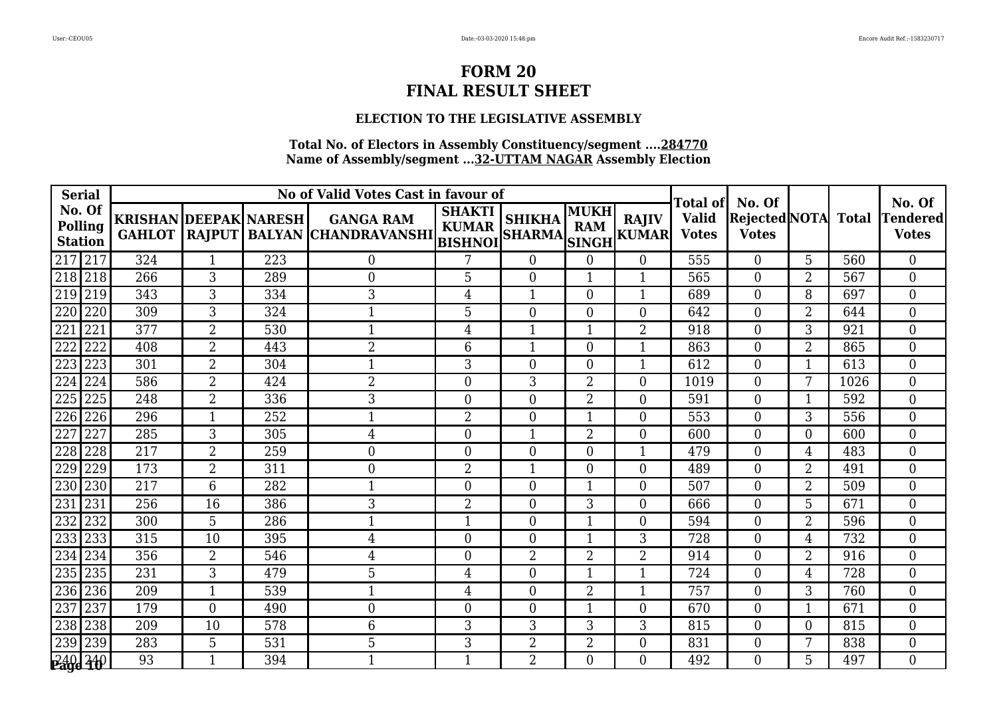## **ELECTION TO THE LEGISLATIVE ASSEMBLY**

|                | <b>Serial</b>     |                              |                |     | No of Valid Votes Cast in favour of                            |                               |                                |                    |                              | Total of                     | No. Of                               |                |              | No. Of                          |
|----------------|-------------------|------------------------------|----------------|-----|----------------------------------------------------------------|-------------------------------|--------------------------------|--------------------|------------------------------|------------------------------|--------------------------------------|----------------|--------------|---------------------------------|
| <b>Station</b> | No. Of<br>Polling | <b>KRISHAN DEEPAK NARESH</b> |                |     | <b>GANGA RAM</b><br>GAHLOT RAJPUT BALYAN CHANDRAVANSHI BISHNOI | <b>SHAKTI</b><br><b>KUMAR</b> | <b>SHIKHA</b><br><b>SHARMA</b> | MUKH<br><b>RAM</b> | <b>RAJIV</b><br>SINGH KUMARI | <b>Valid</b><br><b>Votes</b> | <b>Rejected NOTA</b><br><b>Votes</b> |                | <b>Total</b> | <b>Tendered</b><br><b>Votes</b> |
|                | 217 217           | 324                          | 1              | 223 | $\boldsymbol{0}$                                               | 7                             | $\overline{0}$                 | $\Omega$           | $\overline{0}$               | 555                          | $\overline{0}$                       | 5              | 560          | $\overline{0}$                  |
| 218 218        |                   | 266                          | 3              | 289 | $\theta$                                                       | 5                             | $\Omega$                       | 1                  | $\mathbf{1}$                 | 565                          | $\theta$                             | $\overline{2}$ | 567          | $\overline{0}$                  |
| 219 219        |                   | 343                          | 3              | 334 | 3                                                              | $\overline{4}$                | 1                              | $\Omega$           | $\mathbf{1}$                 | 689                          | $\theta$                             | 8              | 697          | $\overline{0}$                  |
|                | 220 220           | 309                          | $\overline{3}$ | 324 |                                                                | $\overline{5}$                | $\overline{0}$                 | $\theta$           | $\theta$                     | 642                          | $\theta$                             | $\overline{2}$ | 644          | $\overline{0}$                  |
| 221            | 221               | 377                          | $\overline{2}$ | 530 | $\mathbf 1$                                                    | $\overline{4}$                | 1                              |                    | $\overline{2}$               | 918                          | $\theta$                             | 3              | 921          | $\overline{0}$                  |
| 222            | 222               | 408                          | $\overline{2}$ | 443 | $\overline{2}$                                                 | 6                             | 1                              | $\Omega$           | 1                            | 863                          | $\theta$                             | $\overline{2}$ | 865          | $\overline{0}$                  |
| 223 223        |                   | 301                          | $\overline{2}$ | 304 | $\mathbf 1$                                                    | 3                             | $\boldsymbol{0}$               | $\Omega$           | 1                            | 612                          | $\overline{0}$                       | 1              | 613          | $\overline{0}$                  |
| 224            | 224               | 586                          | $\overline{2}$ | 424 | $\overline{2}$                                                 | $\mathbf{0}$                  | 3                              | $\overline{2}$     | $\overline{0}$               | 1019                         | $\overline{0}$                       | 7              | 1026         | $\overline{0}$                  |
| 225            | 225               | 248                          | $\overline{2}$ | 336 | 3                                                              | $\overline{0}$                | $\overline{0}$                 | $\overline{2}$     | $\Omega$                     | 591                          | $\theta$                             | 1              | 592          | $\Omega$                        |
| 226 226        |                   | 296                          | $\mathbf{1}$   | 252 | 1                                                              | $\overline{2}$                | $\overline{0}$                 |                    | $\Omega$                     | 553                          | $\theta$                             | 3              | 556          | $\overline{0}$                  |
| 227            | 227               | 285                          | 3              | 305 | 4                                                              | $\boldsymbol{0}$              | 1                              | $\overline{2}$     | $\theta$                     | 600                          | $\theta$                             | $\Omega$       | 600          | $\overline{0}$                  |
| 228            | 228               | 217                          | $\overline{2}$ | 259 | $\overline{0}$                                                 | $\mathbf{0}$                  | $\overline{0}$                 | $\Omega$           | $\mathbf{1}$                 | 479                          | $\Omega$                             | 4              | 483          | $\boldsymbol{0}$                |
| 229            | 229               | 173                          | $\overline{2}$ | 311 | $\overline{0}$                                                 | $\overline{2}$                | 1                              | $\Omega$           | $\overline{0}$               | 489                          | $\Omega$                             | $\overline{2}$ | 491          | $\overline{0}$                  |
| 230 230        |                   | 217                          | 6              | 282 | $\mathbf 1$                                                    | $\overline{0}$                | $\overline{0}$                 |                    | $\theta$                     | 507                          | $\theta$                             | $\overline{2}$ | 509          | $\overline{0}$                  |
| 231            | 231               | 256                          | 16             | 386 | 3                                                              | $\overline{2}$                | $\overline{0}$                 | 3                  | $\overline{0}$               | 666                          | $\overline{0}$                       | 5              | 671          | $\overline{0}$                  |
| 232            | 232               | 300                          | 5              | 286 | $\mathbf 1$                                                    | $\mathbf{1}$                  | $\overline{0}$                 |                    | $\theta$                     | 594                          | $\Omega$                             | $\overline{2}$ | 596          | $\overline{0}$                  |
| 233 233        |                   | 315                          | 10             | 395 | $\overline{4}$                                                 | $\mathbf{0}$                  | $\overline{0}$                 |                    | 3                            | 728                          | $\overline{0}$                       | 4              | 732          | $\overline{0}$                  |
| 234            | 234               | 356                          | $\overline{2}$ | 546 | 4                                                              | $\overline{0}$                | $\overline{2}$                 | $\overline{2}$     | $\overline{2}$               | 914                          | $\theta$                             | $\overline{2}$ | 916          | $\overline{0}$                  |
| 235 235        |                   | 231                          | 3              | 479 | 5                                                              | $\overline{4}$                | $\overline{0}$                 | 1                  | $\mathbf{1}$                 | 724                          | $\Omega$                             | 4              | 728          | $\overline{0}$                  |
|                | 236 236           | 209                          | 1              | 539 | $\mathbf 1$                                                    | $\overline{4}$                | $\overline{0}$                 | 2                  | 1                            | 757                          | $\overline{0}$                       | 3              | 760          | $\overline{0}$                  |
| 237            | 237               | 179                          | $\overline{0}$ | 490 | $\mathbf{0}$                                                   | $\mathbf{0}$                  | $\boldsymbol{0}$               |                    | $\overline{0}$               | 670                          | $\overline{0}$                       | 1              | 671          | $\boldsymbol{0}$                |
| 238 238        |                   | 209                          | 10             | 578 | 6                                                              | 3                             | 3                              | 3                  | 3                            | 815                          | $\Omega$                             | $\Omega$       | 815          | $\overline{0}$                  |
| 239 239        |                   | 283                          | 5              | 531 | 5                                                              | 3                             | $\overline{2}$                 | $\overline{2}$     | $\theta$                     | 831                          | $\theta$                             | 7              | 838          | $\overline{0}$                  |
|                | 240 240           | 93                           | 1              | 394 | $\mathbf 1$                                                    |                               | 2                              | 0                  | $\overline{0}$               | 492                          | 0                                    | 5              | 497          | $\overline{0}$                  |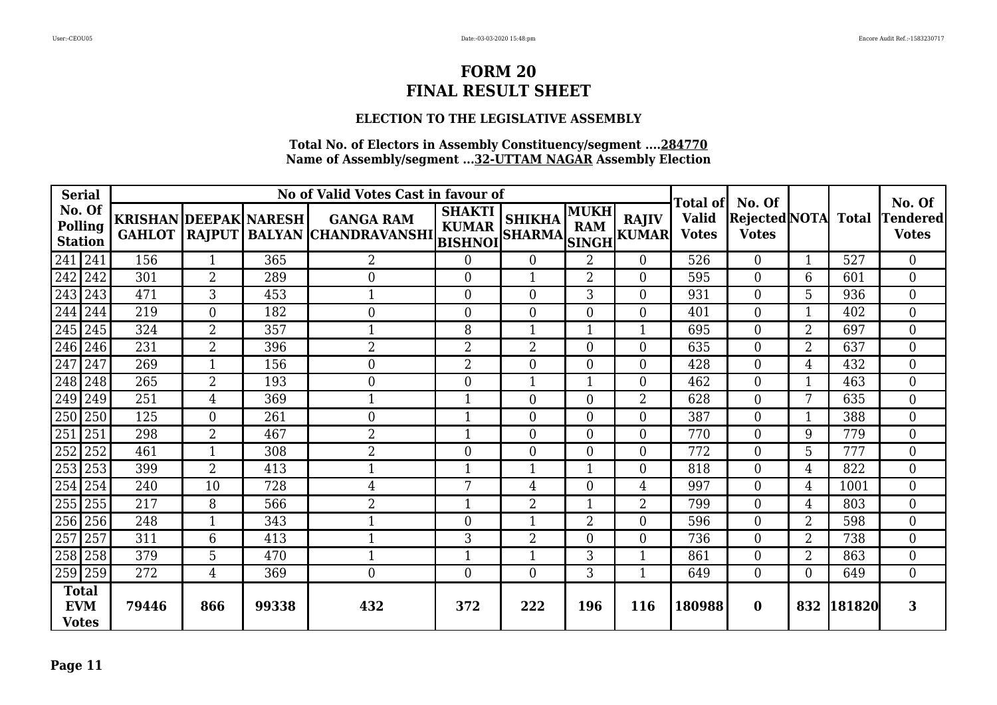## **ELECTION TO THE LEGISLATIVE ASSEMBLY**

| <b>Serial</b>                              |                              |                |       | No of Valid Votes Cast in favour of                            |                               |                               |                           |                              | Total of                     | No. Of                               |                |              | No. Of                   |
|--------------------------------------------|------------------------------|----------------|-------|----------------------------------------------------------------|-------------------------------|-------------------------------|---------------------------|------------------------------|------------------------------|--------------------------------------|----------------|--------------|--------------------------|
| No. Of<br>Polling<br><b>Station</b>        | <b>KRISHAN DEEPAK NARESH</b> |                |       | <b>GANGA RAM</b><br>GAHLOT RAJPUT BALYAN CHANDRAVANSHI BISHNOI | <b>SHAKTI</b><br><b>KUMAR</b> | <b>SHIKHA</b><br>SHARMA SINGH | <b>MUKH</b><br><b>RAM</b> | <b>RAJIV</b><br><b>KUMAR</b> | <b>Valid</b><br><b>Votes</b> | <b>Rejected</b> NOTA<br><b>Votes</b> |                | <b>Total</b> | Tendered<br><b>Votes</b> |
| $241$ 241                                  | 156                          |                | 365   | $\overline{2}$                                                 | $\overline{0}$                | $\overline{0}$                | $\overline{2}$            | $\overline{0}$               | 526                          | $\theta$                             | 1              | 527          | $\overline{0}$           |
| 242 242                                    | 301                          | $\overline{2}$ | 289   | $\boldsymbol{0}$                                               | $\boldsymbol{0}$              | 1                             | $\overline{2}$            | $\overline{0}$               | 595                          | $\overline{0}$                       | 6              | 601          | $\boldsymbol{0}$         |
| 243 243                                    | 471                          | 3              | 453   | $\mathbf 1$                                                    | $\overline{0}$                | $\overline{0}$                | 3                         | $\Omega$                     | 931                          | $\Omega$                             | 5              | 936          | $\overline{0}$           |
| 244 244                                    | 219                          | $\overline{0}$ | 182   | $\boldsymbol{0}$                                               | $\boldsymbol{0}$              | $\overline{0}$                | $\Omega$                  | $\Omega$                     | 401                          | $\theta$                             | 1              | 402          | $\overline{0}$           |
| 245 245                                    | 324                          | $\overline{2}$ | 357   | $\mathbf 1$                                                    | 8                             | 1                             |                           | $\mathbf{1}$                 | 695                          | $\theta$                             | $\overline{2}$ | 697          | $\overline{0}$           |
| 246 246                                    | 231                          | $\overline{2}$ | 396   | $\overline{2}$                                                 | $\overline{2}$                | 2                             | 0                         | $\overline{0}$               | 635                          | 0                                    | $\overline{2}$ | 637          | $\Omega$                 |
| 247 247                                    | 269                          |                | 156   | $\overline{0}$                                                 | $\overline{2}$                | $\overline{0}$                | 0                         | $\overline{0}$               | 428                          | $\theta$                             | 4              | 432          | $\overline{0}$           |
| 248 248                                    | 265                          | $\overline{2}$ | 193   | $\overline{0}$                                                 | $\mathbf{0}$                  |                               |                           | $\theta$                     | 462                          | $\overline{0}$                       |                | 463          | $\overline{0}$           |
| 249 249                                    | 251                          | 4              | 369   | $\mathbf 1$                                                    | $\mathbf{1}$                  | $\overline{0}$                | $\Omega$                  | $\overline{2}$               | 628                          | $\theta$                             | 7              | 635          | $\overline{0}$           |
| 250 250                                    | 125                          | $\theta$       | 261   | $\overline{0}$                                                 | $\mathbf{1}$                  | $\overline{0}$                | $\Omega$                  | $\theta$                     | 387                          | $\theta$                             | 1              | 388          | $\overline{0}$           |
| $251$   251                                | 298                          | $\overline{2}$ | 467   | $\overline{2}$                                                 | $\mathbf{1}$                  | $\overline{0}$                | $\Omega$                  | $\theta$                     | 770                          | $\theta$                             | 9              | 779          | $\overline{0}$           |
| 252 252                                    | 461                          | $\mathbf{1}$   | 308   | $\overline{2}$                                                 | $\mathbf{0}$                  | $\overline{0}$                | $\theta$                  | $\overline{0}$               | 772                          | $\overline{0}$                       | 5              | 777          | $\boldsymbol{0}$         |
| 253 253                                    | 399                          | $\overline{2}$ | 413   | $\mathbf 1$                                                    | $\mathbf{1}$                  | 1                             |                           | $\overline{0}$               | 818                          | $\overline{0}$                       | 4              | 822          | $\overline{0}$           |
| 254 254                                    | 240                          | 10             | 728   | 4                                                              | 7                             | 4                             | 0                         | 4                            | 997                          | $\theta$                             | 4              | 1001         | $\overline{0}$           |
| 255 255                                    | 217                          | 8              | 566   | $\overline{2}$                                                 | 1                             | $\overline{2}$                |                           | $\overline{2}$               | 799                          | $\Omega$                             | 4              | 803          | $\overline{0}$           |
| 256 256                                    | 248                          |                | 343   |                                                                | $\theta$                      | 1                             | $\overline{2}$            | $\theta$                     | 596                          | $\theta$                             | $\overline{2}$ | 598          | $\overline{0}$           |
| 257 257                                    | 311                          | 6              | 413   |                                                                | 3                             | 2                             | 0                         | $\overline{0}$               | 736                          | $\Omega$                             | 2              | 738          | $\overline{0}$           |
| 258 258                                    | 379                          | 5              | 470   | $\mathbf 1$                                                    | $\mathbf{1}$                  | 1                             | 3                         | -1                           | 861                          | $\theta$                             | $\overline{2}$ | 863          | $\overline{0}$           |
| 259 259                                    | 272                          | 4              | 369   | $\mathbf{0}$                                                   | $\boldsymbol{0}$              | $\overline{0}$                | 3                         | $\mathbf 1$                  | 649                          | $\theta$                             | $\Omega$       | 649          | $\overline{0}$           |
| <b>Total</b><br><b>EVM</b><br><b>Votes</b> | 79446                        | 866            | 99338 | 432                                                            | 372                           | 222                           | 196                       | <b>116</b>                   | 180988                       | $\mathbf{0}$                         | 832            | 181820       | 3                        |